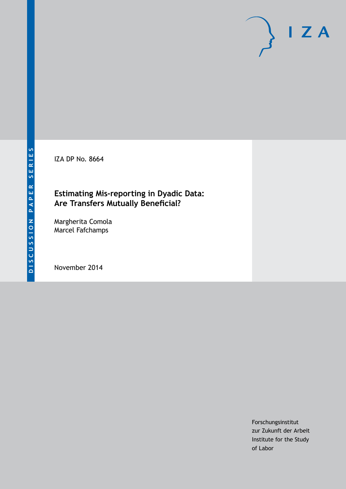IZA DP No. 8664

## **Estimating Mis-reporting in Dyadic Data: Are Transfers Mutually Beneficial?**

Margherita Comola Marcel Fafchamps

November 2014

Forschungsinstitut zur Zukunft der Arbeit Institute for the Study of Labor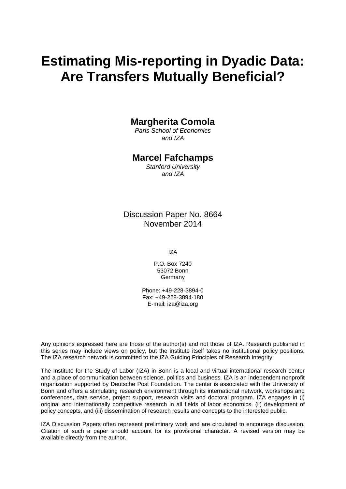# **Estimating Mis-reporting in Dyadic Data: Are Transfers Mutually Beneficial?**

### **Margherita Comola**

*Paris School of Economics and IZA*

#### **Marcel Fafchamps**

*Stanford University and IZA*

Discussion Paper No. 8664 November 2014

IZA

P.O. Box 7240 53072 Bonn Germany

Phone: +49-228-3894-0 Fax: +49-228-3894-180 E-mail: [iza@iza.org](mailto:iza@iza.org)

Any opinions expressed here are those of the author(s) and not those of IZA. Research published in this series may include views on policy, but the institute itself takes no institutional policy positions. The IZA research network is committed to the IZA Guiding Principles of Research Integrity.

The Institute for the Study of Labor (IZA) in Bonn is a local and virtual international research center and a place of communication between science, politics and business. IZA is an independent nonprofit organization supported by Deutsche Post Foundation. The center is associated with the University of Bonn and offers a stimulating research environment through its international network, workshops and conferences, data service, project support, research visits and doctoral program. IZA engages in (i) original and internationally competitive research in all fields of labor economics, (ii) development of policy concepts, and (iii) dissemination of research results and concepts to the interested public.

<span id="page-1-0"></span>IZA Discussion Papers often represent preliminary work and are circulated to encourage discussion. Citation of such a paper should account for its provisional character. A revised version may be available directly from the author.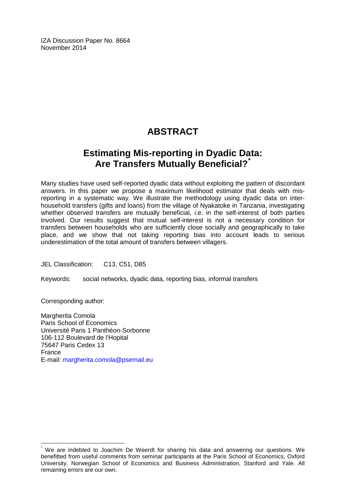IZA Discussion Paper No. 8664 November 2014

## **ABSTRACT**

## **Estimating Mis-reporting in Dyadic Data: Are Transfers Mutually Beneficial?[\\*](#page-1-0)**

Many studies have used self-reported dyadic data without exploiting the pattern of discordant answers. In this paper we propose a maximum likelihood estimator that deals with misreporting in a systematic way. We illustrate the methodology using dyadic data on interhousehold transfers (gifts and loans) from the village of Nyakatoke in Tanzania, investigating whether observed transfers are mutually beneficial, i.e. in the self-interest of both parties involved. Our results suggest that mutual self-interest is not a necessary condition for transfers between households who are sufficiently close socially and geographically to take place, and we show that not taking reporting bias into account leads to serious underestimation of the total amount of transfers between villagers.

JEL Classification: C13, C51, D85

Keywords: social networks, dyadic data, reporting bias, informal transfers

Corresponding author:

Margherita Comola Paris School of Economics Université Paris 1 Panthéon-Sorbonne 106-112 Boulevard de l'Hopital 75647 Paris Cedex 13 France E-mail: [margherita.comola@psemail.eu](mailto:margherita.comola@psemail.eu)

We are indebted to Joachim De Weerdt for sharing his data and answering our questions. We benefitted from useful comments from seminar participants at the Paris School of Economics, Oxford University, Norwegian School of Economics and Business Administration, Stanford and Yale. All remaining errors are our own.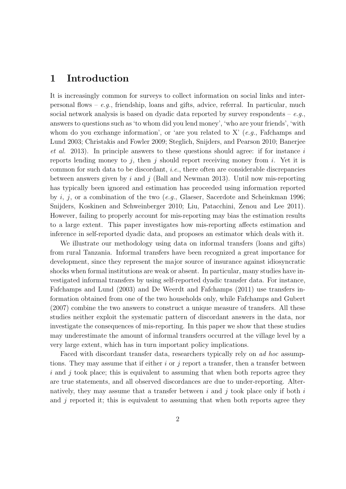## 1 Introduction

It is increasingly common for surveys to collect information on social links and interpersonal flows –  $e, q$ , friendship, loans and gifts, advice, referral. In particular, much social network analysis is based on dyadic data reported by survey respondents –  $e.g.,$ answers to questions such as 'to whom did you lend money', 'who are your friends', 'with whom do you exchange information', or 'are you related to  $X'$  (e.g., Fafchamps and Lund 2003; Christakis and Fowler 2009; Steglich, Snijders, and Pearson 2010; Banerjee et al. 2013). In principle answers to these questions should agree: if for instance i reports lending money to j, then j should report receiving money from i. Yet it is common for such data to be discordant, i.e., there often are considerable discrepancies between answers given by i and j (Ball and Newman 2013). Until now mis-reporting has typically been ignored and estimation has proceeded using information reported by i, j, or a combination of the two  $(e.q., G$ laeser, Sacerdote and Scheinkman 1996; Snijders, Koskinen and Schweinberger 2010; Liu, Patacchini, Zenou and Lee 2011). However, failing to properly account for mis-reporting may bias the estimation results to a large extent. This paper investigates how mis-reporting affects estimation and inference in self-reported dyadic data, and proposes an estimator which deals with it.

We illustrate our methodology using data on informal transfers (loans and gifts) from rural Tanzania. Informal transfers have been recognized a great importance for development, since they represent the major source of insurance against idiosyncratic shocks when formal institutions are weak or absent. In particular, many studies have investigated informal transfers by using self-reported dyadic transfer data. For instance, Fafchamps and Lund (2003) and De Weerdt and Fafchamps (2011) use transfers information obtained from one of the two households only, while Fafchamps and Gubert (2007) combine the two answers to construct a unique measure of transfers. All these studies neither exploit the systematic pattern of discordant answers in the data, nor investigate the consequences of mis-reporting. In this paper we show that these studies may underestimate the amount of informal transfers occurred at the village level by a very large extent, which has in turn important policy implications.

Faced with discordant transfer data, researchers typically rely on ad hoc assumptions. They may assume that if either  $i$  or  $j$  report a transfer, then a transfer between  $i$  and  $j$  took place; this is equivalent to assuming that when both reports agree they are true statements, and all observed discordances are due to under-reporting. Alternatively, they may assume that a transfer between  $i$  and  $j$  took place only if both  $i$ and  $j$  reported it; this is equivalent to assuming that when both reports agree they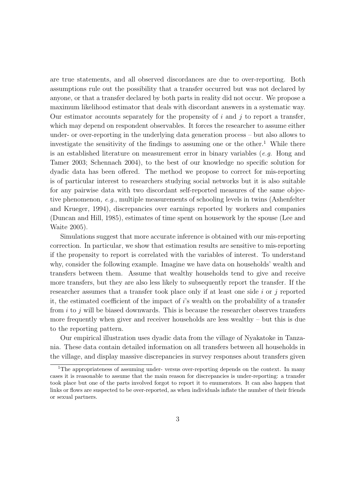are true statements, and all observed discordances are due to over-reporting. Both assumptions rule out the possibility that a transfer occurred but was not declared by anyone, or that a transfer declared by both parts in reality did not occur. We propose a maximum likelihood estimator that deals with discordant answers in a systematic way. Our estimator accounts separately for the propensity of  $i$  and  $j$  to report a transfer, which may depend on respondent observables. It forces the researcher to assume either under- or over-reporting in the underlying data generation process – but also allows to investigate the sensitivity of the findings to assuming one or the other.<sup>1</sup> While there is an established literature on measurement error in binary variables (e.g. Hong and Tamer 2003; Schennach 2004), to the best of our knowledge no specific solution for dyadic data has been offered. The method we propose to correct for mis-reporting is of particular interest to researchers studying social networks but it is also suitable for any pairwise data with two discordant self-reported measures of the same objective phenomenon, e.g., multiple measurements of schooling levels in twins (Ashenfelter and Krueger, 1994), discrepancies over earnings reported by workers and companies (Duncan and Hill, 1985), estimates of time spent on housework by the spouse (Lee and Waite 2005).

Simulations suggest that more accurate inference is obtained with our mis-reporting correction. In particular, we show that estimation results are sensitive to mis-reporting if the propensity to report is correlated with the variables of interest. To understand why, consider the following example. Imagine we have data on households' wealth and transfers between them. Assume that wealthy households tend to give and receive more transfers, but they are also less likely to subsequently report the transfer. If the researcher assumes that a transfer took place only if at least one side i or j reported it, the estimated coefficient of the impact of i's wealth on the probability of a transfer from  $i$  to j will be biased downwards. This is because the researcher observes transfers more frequently when giver and receiver households are less wealthy – but this is due to the reporting pattern.

Our empirical illustration uses dyadic data from the village of Nyakatoke in Tanzania. These data contain detailed information on all transfers between all households in the village, and display massive discrepancies in survey responses about transfers given

<sup>&</sup>lt;sup>1</sup>The appropriateness of assuming under-versus over-reporting depends on the context. In many cases it is reasonable to assume that the main reason for discrepancies is under-reporting: a transfer took place but one of the parts involved forgot to report it to enumerators. It can also happen that links or flows are suspected to be over-reported, as when individuals inflate the number of their friends or sexual partners.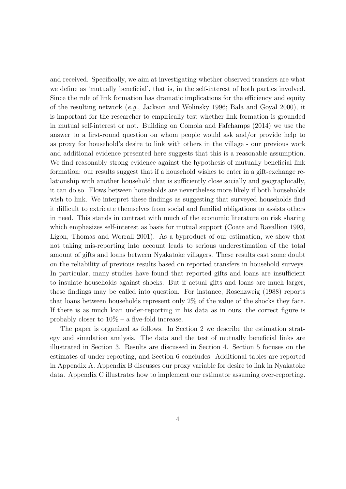and received. Specifically, we aim at investigating whether observed transfers are what we define as 'mutually beneficial', that is, in the self-interest of both parties involved. Since the rule of link formation has dramatic implications for the efficiency and equity of the resulting network (e.g., Jackson and Wolinsky 1996; Bala and Goyal 2000), it is important for the researcher to empirically test whether link formation is grounded in mutual self-interest or not. Building on Comola and Fafchamps (2014) we use the answer to a first-round question on whom people would ask and/or provide help to as proxy for household's desire to link with others in the village - our previous work and additional evidence presented here suggests that this is a reasonable assumption. We find reasonably strong evidence against the hypothesis of mutually beneficial link formation: our results suggest that if a household wishes to enter in a gift-exchange relationship with another household that is sufficiently close socially and geographically, it can do so. Flows between households are nevertheless more likely if both households wish to link. We interpret these findings as suggesting that surveyed households find it difficult to extricate themselves from social and familial obligations to assists others in need. This stands in contrast with much of the economic literature on risk sharing which emphasizes self-interest as basis for mutual support (Coate and Ravallion 1993, Ligon, Thomas and Worrall 2001). As a byproduct of our estimation, we show that not taking mis-reporting into account leads to serious underestimation of the total amount of gifts and loans between Nyakatoke villagers. These results cast some doubt on the reliability of previous results based on reported transfers in household surveys. In particular, many studies have found that reported gifts and loans are insufficient to insulate households against shocks. But if actual gifts and loans are much larger, these findings may be called into question. For instance, Rosenzweig (1988) reports that loans between households represent only 2% of the value of the shocks they face. If there is as much loan under-reporting in his data as in ours, the correct figure is probably closer to  $10\%$  – a five-fold increase.

The paper is organized as follows. In Section 2 we describe the estimation strategy and simulation analysis. The data and the test of mutually beneficial links are illustrated in Section 3. Results are discussed in Section 4. Section 5 focuses on the estimates of under-reporting, and Section 6 concludes. Additional tables are reported in Appendix A. Appendix B discusses our proxy variable for desire to link in Nyakatoke data. Appendix C illustrates how to implement our estimator assuming over-reporting.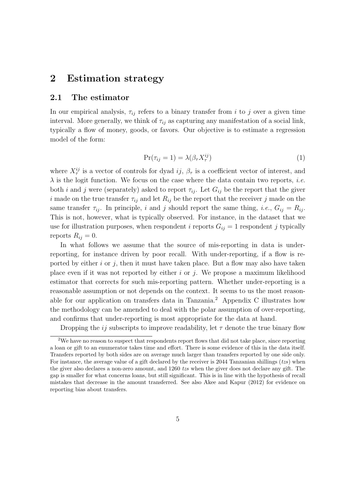## 2 Estimation strategy

#### 2.1 The estimator

In our empirical analysis,  $\tau_{ij}$  refers to a binary transfer from i to j over a given time interval. More generally, we think of  $\tau_{ij}$  as capturing any manifestation of a social link, typically a flow of money, goods, or favors. Our objective is to estimate a regression model of the form:

$$
\Pr(\tau_{ij} = 1) = \lambda(\beta_\tau X_\tau^{ij})\tag{1}
$$

where  $X_{\tau}^{ij}$  is a vector of controls for dyad  $ij$ ,  $\beta_{\tau}$  is a coefficient vector of interest, and  $\lambda$  is the logit function. We focus on the case where the data contain two reports, *i.e.* both i and j were (separately) asked to report  $\tau_{ij}$ . Let  $G_{ij}$  be the report that the given i made on the true transfer  $\tau_{ij}$  and let  $R_{ij}$  be the report that the receiver j made on the same transfer  $\tau_{ij}$ . In principle, i and j should report the same thing, i.e.,  $G_{ij} = R_{ij}$ . This is not, however, what is typically observed. For instance, in the dataset that we use for illustration purposes, when respondent i reports  $G_{ij} = 1$  respondent j typically reports  $R_{ij} = 0$ .

In what follows we assume that the source of mis-reporting in data is underreporting, for instance driven by poor recall. With under-reporting, if a flow is reported by either  $i$  or  $j$ , then it must have taken place. But a flow may also have taken place even if it was not reported by either  $i$  or  $j$ . We propose a maximum likelihood estimator that corrects for such mis-reporting pattern. Whether under-reporting is a reasonable assumption or not depends on the context. It seems to us the most reasonable for our application on transfers data in Tanzania.<sup>2</sup> Appendix C illustrates how the methodology can be amended to deal with the polar assumption of over-reporting, and confirms that under-reporting is most appropriate for the data at hand.

Dropping the *ij* subscripts to improve readability, let  $\tau$  denote the true binary flow

<sup>&</sup>lt;sup>2</sup>We have no reason to suspect that respondents report flows that did not take place, since reporting a loan or gift to an enumerator takes time and effort. There is some evidence of this in the data itself. Transfers reported by both sides are on average much larger than transfers reported by one side only. For instance, the average value of a gift declared by the receiver is 2044 Tanzanian shillings  $(tzs)$  when the giver also declares a non-zero amount, and 1260 tzs when the giver does not declare any gift. The gap is smaller for what concerns loans, but still significant. This is in line with the hypothesis of recall mistakes that decrease in the amount transferred. See also Akee and Kapur (2012) for evidence on reporting bias about transfers.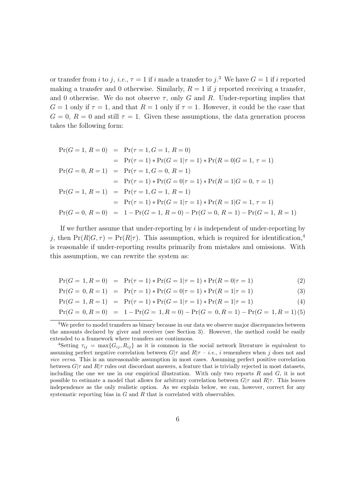or transfer from i to j, i.e.,  $\tau = 1$  if i made a transfer to j.<sup>3</sup> We have  $G = 1$  if i reported making a transfer and 0 otherwise. Similarly,  $R = 1$  if j reported receiving a transfer, and 0 otherwise. We do not observe  $\tau$ , only G and R. Under-reporting implies that  $G = 1$  only if  $\tau = 1$ , and that  $R = 1$  only if  $\tau = 1$ . However, it could be the case that  $G = 0, R = 0$  and still  $\tau = 1$ . Given these assumptions, the data generation process takes the following form:

$$
Pr(G = 1, R = 0) = Pr(\tau = 1, G = 1, R = 0)
$$
  
= 
$$
Pr(\tau = 1) * Pr(G = 1 | \tau = 1) * Pr(R = 0 | G = 1, \tau = 1)
$$
  

$$
Pr(G = 0, R = 1) = Pr(\tau = 1, G = 0, R = 1)
$$
  
= 
$$
Pr(\tau = 1) * Pr(G = 0 | \tau = 1) * Pr(R = 1 | G = 0, \tau = 1)
$$
  

$$
Pr(G = 1, R = 1) = Pr(\tau = 1, G = 1, R = 1)
$$
  
= 
$$
Pr(\tau = 1) * Pr(G = 1 | \tau = 1) * Pr(R = 1 | G = 1, \tau = 1)
$$
  

$$
Pr(G = 0, R = 0) = 1 - Pr(G = 1, R = 0) - Pr(G = 0, R = 1) - Pr(G = 1, R = 1)
$$

If we further assume that under-reporting by  $i$  is independent of under-reporting by j, then  $Pr(R|G,\tau) = Pr(R|\tau)$ . This assumption, which is required for identification.<sup>4</sup> is reasonable if under-reporting results primarily from mistakes and omissions. With this assumption, we can rewrite the system as:

$$
Pr(G = 1, R = 0) = Pr(\tau = 1) * Pr(G = 1 | \tau = 1) * Pr(R = 0 | \tau = 1)
$$
\n(2)

$$
\Pr(G=0, R=1) = \Pr(\tau=1) * \Pr(G=0|\tau=1) * \Pr(R=1|\tau=1)
$$
\n(3)

$$
Pr(G = 1, R = 1) = Pr(\tau = 1) * Pr(G = 1 | \tau = 1) * Pr(R = 1 | \tau = 1)
$$
\n(4)

$$
Pr(G = 0, R = 0) = 1 - Pr(G = 1, R = 0) - Pr(G = 0, R = 1) - Pr(G = 1, R = 1) (5)
$$

<sup>&</sup>lt;sup>3</sup>We prefer to model transfers as binary because in our data we observe major discrepancies between the amounts declared by giver and receiver (see Section 3). However, the method could be easily extended to a framework where transfers are continuous.

<sup>&</sup>lt;sup>4</sup>Setting  $\tau_{ij} = \max\{G_{ij}, R_{ij}\}\$ as it is common in the social network literature is equivalent to assuming perfect negative correlation between  $G|\tau$  and  $R|\tau - i.e., i$  remembers when j does not and vice versa. This is an unreasonable assumption in most cases. Assuming perfect positive correlation between  $G|\tau$  and  $R|\tau$  rules out discordant answers, a feature that is trivially rejected in most datasets, including the one we use in our empirical illustration. With only two reports  $R$  and  $G$ , it is not possible to estimate a model that allows for arbitrary correlation between  $G|\tau$  and  $R|\tau$ . This leaves independence as the only realistic option. As we explain below, we can, however, correct for any systematic reporting bias in G and R that is correlated with observables.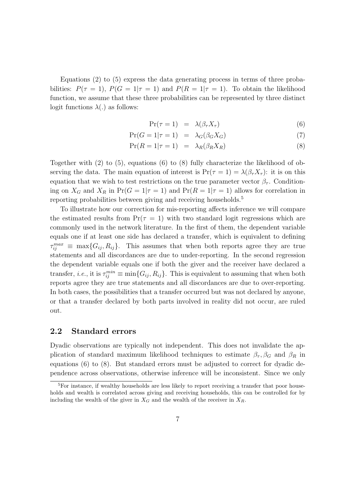Equations (2) to (5) express the data generating process in terms of three probabilities:  $P(\tau = 1), P(G = 1 | \tau = 1)$  and  $P(R = 1 | \tau = 1)$ . To obtain the likelihood function, we assume that these three probabilities can be represented by three distinct logit functions  $\lambda(.)$  as follows:

$$
Pr(\tau = 1) = \lambda(\beta_\tau X_\tau) \tag{6}
$$

$$
\Pr(G = 1 | \tau = 1) = \lambda_G(\beta_G X_G) \tag{7}
$$

$$
\Pr(R = 1 | \tau = 1) = \lambda_R(\beta_R X_R) \tag{8}
$$

Together with  $(2)$  to  $(5)$ , equations  $(6)$  to  $(8)$  fully characterize the likelihood of observing the data. The main equation of interest is  $Pr(\tau = 1) = \lambda(\beta_\tau X_\tau)$ : it is on this equation that we wish to test restrictions on the true parameter vector  $\beta_{\tau}$ . Conditioning on  $X_G$  and  $X_R$  in  $Pr(G = 1 | \tau = 1)$  and  $Pr(R = 1 | \tau = 1)$  allows for correlation in reporting probabilities between giving and receiving households.<sup>5</sup>

To illustrate how our correction for mis-reporting affects inference we will compare the estimated results from  $Pr(\tau = 1)$  with two standard logit regressions which are commonly used in the network literature. In the first of them, the dependent variable equals one if at least one side has declared a transfer, which is equivalent to defining  $\tau_{ij}^{max} \equiv \max\{G_{ij}, R_{ij}\}.$  This assumes that when both reports agree they are true statements and all discordances are due to under-reporting. In the second regression the dependent variable equals one if both the giver and the receiver have declared a transfer, *i.e.*, it is  $\tau_{ij}^{min} \equiv \min\{G_{ij}, R_{ij}\}\.$  This is equivalent to assuming that when both reports agree they are true statements and all discordances are due to over-reporting. In both cases, the possibilities that a transfer occurred but was not declared by anyone, or that a transfer declared by both parts involved in reality did not occur, are ruled out.

#### 2.2 Standard errors

Dyadic observations are typically not independent. This does not invalidate the application of standard maximum likelihood techniques to estimate  $\beta_{\tau}$ ,  $\beta_{G}$  and  $\beta_{R}$  in equations (6) to (8). But standard errors must be adjusted to correct for dyadic dependence across observations, otherwise inference will be inconsistent. Since we only

<sup>&</sup>lt;sup>5</sup>For instance, if wealthy households are less likely to report receiving a transfer that poor households and wealth is correlated across giving and receiving households, this can be controlled for by including the wealth of the giver in  $X_G$  and the wealth of the receiver in  $X_R$ .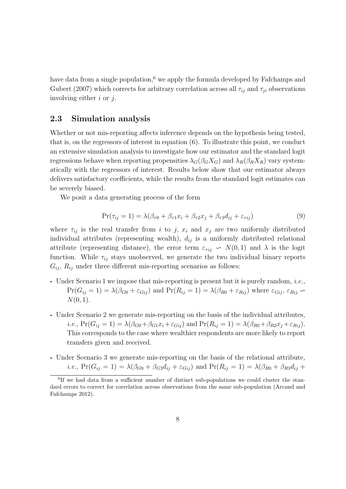have data from a single population,<sup>6</sup> we apply the formula developed by Fafchamps and Gubert (2007) which corrects for arbitrary correlation across all  $\tau_{ij}$  and  $\tau_{ji}$  observations involving either  $i$  or  $j$ .

#### 2.3 Simulation analysis

Whether or not mis-reporting affects inference depends on the hypothesis being tested, that is, on the regressors of interest in equation (6). To illustrate this point, we conduct an extensive simulation analysis to investigate how our estimator and the standard logit regressions behave when reporting propensities  $\lambda_G(\beta_G X_G)$  and  $\lambda_R(\beta_R X_R)$  vary systematically with the regressors of interest. Results below show that our estimator always delivers satisfactory coefficients, while the results from the standard logit estimates can be severely biased.

We posit a data generating process of the form

$$
\Pr(\tau_{ij} = 1) = \lambda(\beta_{\tau 0} + \beta_{\tau 1} x_i + \beta_{\tau 2} x_j + \beta_{\tau 3} d_{ij} + \varepsilon_{\tau ij})
$$
\n(9)

where  $\tau_{ij}$  is the real transfer from i to j,  $x_i$  and  $x_j$  are two uniformly distributed individual attributes (representing wealth),  $d_{ij}$  is a uniformly distributed relational attribute (representing distance), the error term  $\varepsilon_{\tau ij} \sim N(0, 1)$  and  $\lambda$  is the logit function. While  $\tau_{ij}$  stays unobserved, we generate the two individual binary reports  $G_{ij}$ ,  $R_{ij}$  under three different mis-reporting scenarios as follows:

- Under Scenario 1 we impose that mis-reporting is present but it is purely random, i.e.,  $Pr(G_{ij} = 1) = \lambda(\beta_{G0} + \varepsilon_{Gij})$  and  $Pr(R_{ij} = 1) = \lambda(\beta_{R0} + \varepsilon_{Rij})$  where  $\varepsilon_{Gij}$ ,  $\varepsilon_{Rij} \sim$  $N(0, 1)$ .
- Under Scenario 2 we generate mis-reporting on the basis of the individual attributes, *i.e.*,  $Pr(G_{ij} = 1) = \lambda(\beta_{G0} + \beta_{G1}x_i + \epsilon_{Gij})$  and  $Pr(R_{ij} = 1) = \lambda(\beta_{R0} + \beta_{R2}x_j + \epsilon_{Rij}).$ This corresponds to the case where wealthier respondents are more likely to report transfers given and received.
- Under Scenario 3 we generate mis-reporting on the basis of the relational attribute, *i.e.*,  $Pr(G_{ij} = 1) = \lambda(\beta_{G0} + \beta_{G3}d_{ij} + \varepsilon_{Gij})$  and  $Pr(R_{ij} = 1) = \lambda(\beta_{R0} + \beta_{R3}d_{ij} + \varepsilon_{Gij})$

<sup>&</sup>lt;sup>6</sup>If we had data from a sufficient number of distinct sub-populations we could cluster the standard errors to correct for correlation across observations from the same sub-population (Arcand and Fafchamps 2012).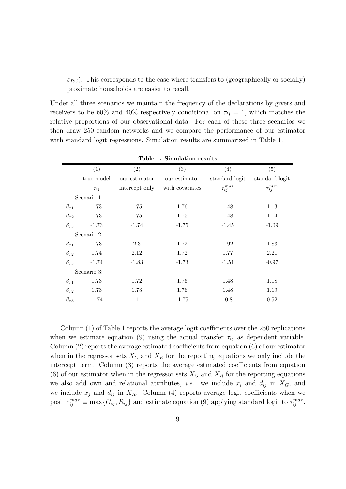$\varepsilon_{Rij}$ ). This corresponds to the case where transfers to (geographically or socially) proximate households are easier to recall.

Under all three scenarios we maintain the frequency of the declarations by givers and receivers to be 60% and 40% respectively conditional on  $\tau_{ij} = 1$ , which matches the relative proportions of our observational data. For each of these three scenarios we then draw 250 random networks and we compare the performance of our estimator with standard logit regressions. Simulation results are summarized in Table 1.

|                  | (1)         | $\left( 2\right)$ | (3)             | (4)               | (5)               |  |  |  |  |
|------------------|-------------|-------------------|-----------------|-------------------|-------------------|--|--|--|--|
|                  | true model  | our estimator     | our estimator   | standard logit    | standard logit    |  |  |  |  |
|                  | $\tau_{ij}$ | intercept only    | with covariates | $\tau_{ij}^{max}$ | $\tau_{ij}^{min}$ |  |  |  |  |
|                  | Scenario 1: |                   |                 |                   |                   |  |  |  |  |
| $\beta_{\tau 1}$ | 1.73        | 1.75              | 1.76            | 1.48              | 1.13              |  |  |  |  |
| $\beta_{\tau 2}$ | 1.73        | 1.75              | 1.75            | 1.48              | 1.14              |  |  |  |  |
| $\beta_{\tau 3}$ | $-1.73$     | $-1.74$           | $-1.75$         | $-1.45$           | $-1.09$           |  |  |  |  |
|                  | Scenario 2: |                   |                 |                   |                   |  |  |  |  |
| $\beta_{\tau 1}$ | 1.73        | 2.3               | 1.72            | 1.92              | 1.83              |  |  |  |  |
| $\beta_{\tau 2}$ | 1.74        | 2.12              | 1.72            | 1.77              | 2.21              |  |  |  |  |
| $\beta_{\tau 3}$ | $-1.74$     | $-1.83$           | $-1.73$         | $-1.51$           | $-0.97$           |  |  |  |  |
|                  | Scenario 3: |                   |                 |                   |                   |  |  |  |  |
| $\beta_{\tau 1}$ | 1.73        | 1.72              | 1.76            | 1.48              | 1.18              |  |  |  |  |
| $\beta_{\tau 2}$ | 1.73        | 1.73              | 1.76            | 1.48              | 1.19              |  |  |  |  |
| $\beta_{\tau 3}$ | $-1.74$     | $-1$              | $-1.75$         | $-0.8$            | 0.52              |  |  |  |  |

Table 1. Simulation results

Column (1) of Table 1 reports the average logit coefficients over the 250 replications when we estimate equation (9) using the actual transfer  $\tau_{ij}$  as dependent variable. Column (2) reports the average estimated coefficients from equation (6) of our estimator when in the regressor sets  $X_G$  and  $X_R$  for the reporting equations we only include the intercept term. Column (3) reports the average estimated coefficients from equation (6) of our estimator when in the regressor sets  $X_G$  and  $X_R$  for the reporting equations we also add own and relational attributes, *i.e.* we include  $x_i$  and  $d_{ij}$  in  $X_G$ , and we include  $x_j$  and  $d_{ij}$  in  $X_R$ . Column (4) reports average logit coefficients when we posit  $\tau_{ij}^{max} \equiv \max\{G_{ij}, R_{ij}\}\$  and estimate equation (9) applying standard logit to  $\tau_{ij}^{max}$ .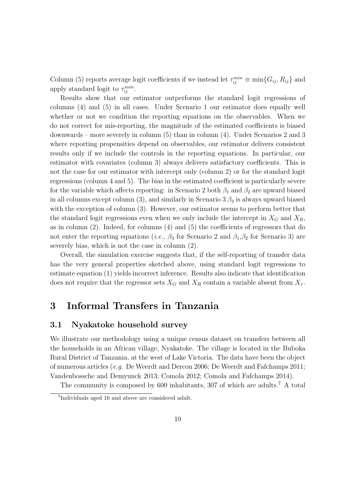Column (5) reports average logit coefficients if we instead let  $\tau_{ij}^{min} \equiv \min\{G_{ij}, R_{ij}\}\$  and apply standard logit to  $\tau_{ij}^{min}$ .

Results show that our estimator outperforms the standard logit regressions of columns (4) and (5) in all cases. Under Scenario 1 our estimator does equally well whether or not we condition the reporting equations on the observables. When we do not correct for mis-reporting, the magnitude of the estimated coefficients is biased downwards – more severely in column (5) than in column (4). Under Scenarios 2 and 3 where reporting propensities depend on observables, our estimator delivers consistent results only if we include the controls in the reporting equations. In particular, our estimator with covariates (column 3) always delivers satisfactory coefficients. This is not the case for our estimator with intercept only (column 2) or for the standard logit regressions (column 4 and 5). The bias in the estimated coefficient is particularly severe for the variable which affects reporting: in Scenario 2 both  $\beta_1$  and  $\beta_2$  are upward biased in all columns except column (3), and similarly in Scenario 3  $\beta_3$  is always upward biased with the exception of column (3). However, our estimator seems to perform better that the standard logit regressions even when we only include the intercept in  $X_G$  and  $X_R$ , as in column (2). Indeed, for columns (4) and (5) the coefficients of regressors that do not enter the reporting equations (*i.e.*,  $\beta_3$  for Scenario 2 and  $\beta_1, \beta_2$  for Scenario 3) are severely bias, which is not the case in column (2).

Overall, the simulation exercise suggests that, if the self-reporting of transfer data has the very general properties sketched above, using standard logit regressions to estimate equation (1) yields incorrect inference. Results also indicate that identification does not require that the regressor sets  $X_G$  and  $X_R$  contain a variable absent from  $X_{\tau}$ .

## 3 Informal Transfers in Tanzania

#### 3.1 Nyakatoke household survey

We illustrate our methodology using a unique census dataset on transfers between all the households in an African village, Nyakatoke. The village is located in the Buboka Rural District of Tanzania, at the west of Lake Victoria. The data have been the object of numerous articles (e.g. De Weerdt and Dercon 2006; De Weerdt and Fafchamps 2011; Vandenbossche and Demyunck 2013; Comola 2012; Comola and Fafchamps 2014).

The community is composed by 600 inhabitants, 307 of which are adults.<sup>7</sup> A total

<sup>7</sup> Individuals aged 16 and above are considered adult.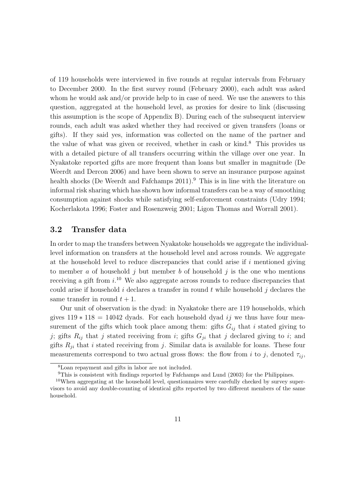of 119 households were interviewed in five rounds at regular intervals from February to December 2000. In the first survey round (February 2000), each adult was asked whom he would ask and/or provide help to in case of need. We use the answers to this question, aggregated at the household level, as proxies for desire to link (discussing this assumption is the scope of Appendix B). During each of the subsequent interview rounds, each adult was asked whether they had received or given transfers (loans or gifts). If they said yes, information was collected on the name of the partner and the value of what was given or received, whether in cash or kind.<sup>8</sup> This provides us with a detailed picture of all transfers occurring within the village over one year. In Nyakatoke reported gifts are more frequent than loans but smaller in magnitude (De Weerdt and Dercon 2006) and have been shown to serve an insurance purpose against health shocks (De Weerdt and Fafchamps 2011).<sup>9</sup> This is in line with the literature on informal risk sharing which has shown how informal transfers can be a way of smoothing consumption against shocks while satisfying self-enforcement constraints (Udry 1994; Kocherlakota 1996; Foster and Rosenzweig 2001; Ligon Thomas and Worrall 2001).

#### 3.2 Transfer data

In order to map the transfers between Nyakatoke households we aggregate the individuallevel information on transfers at the household level and across rounds. We aggregate at the household level to reduce discrepancies that could arise if  $i$  mentioned giving to member a of household j but member b of household j is the one who mentions receiving a gift from  $i^{10}$  We also aggregate across rounds to reduce discrepancies that could arise if household i declares a transfer in round t while household j declares the same transfer in round  $t + 1$ .

Our unit of observation is the dyad: in Nyakatoke there are 119 households, which gives  $119 * 118 = 14042$  dyads. For each household dyad ij we thus have four measurement of the gifts which took place among them: gifts  $G_{ij}$  that i stated giving to j; gifts  $R_{ij}$  that j stated receiving from i; gifts  $G_{ji}$  that j declared giving to i; and gifts  $R_{ji}$  that i stated receiving from j. Similar data is available for loans. These four measurements correspond to two actual gross flows: the flow from i to j, denoted  $\tau_{ij}$ ,

<sup>8</sup>Loan repayment and gifts in labor are not included.

 $9$ This is consistent with findings reported by Fafchamps and Lund (2003) for the Philippines.

<sup>&</sup>lt;sup>10</sup>When aggregating at the household level, questionnaires were carefully checked by survey supervisors to avoid any double-counting of identical gifts reported by two different members of the same household.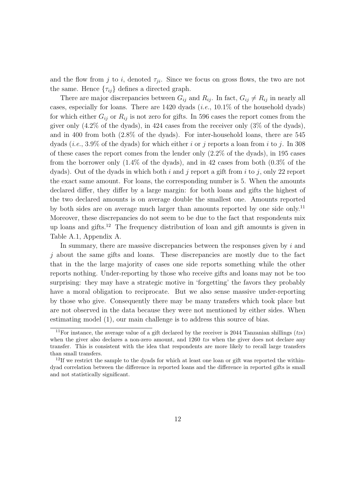and the flow from j to i, denoted  $\tau_{ji}$ . Since we focus on gross flows, the two are not the same. Hence  $\{\tau_{ij}\}\$  defines a directed graph.

There are major discrepancies between  $G_{ij}$  and  $R_{ij}$ . In fact,  $G_{ij} \neq R_{ij}$  in nearly all cases, especially for loans. There are  $1420$  dyads (*i.e.*,  $10.1\%$  of the household dyads) for which either  $G_{ij}$  or  $R_{ij}$  is not zero for gifts. In 596 cases the report comes from the giver only (4.2% of the dyads), in 424 cases from the receiver only (3% of the dyads), and in 400 from both (2.8% of the dyads). For inter-household loans, there are 545 dyads (*i.e.*, 3.9% of the dyads) for which either i or j reports a loan from i to j. In 308 of these cases the report comes from the lender only (2.2% of the dyads), in 195 cases from the borrower only (1.4% of the dyads), and in 42 cases from both (0.3% of the dyads). Out of the dyads in which both  $i$  and  $j$  report a gift from  $i$  to  $j$ , only 22 report the exact same amount. For loans, the corresponding number is 5. When the amounts declared differ, they differ by a large margin: for both loans and gifts the highest of the two declared amounts is on average double the smallest one. Amounts reported by both sides are on average much larger than amounts reported by one side only.<sup>11</sup> Moreover, these discrepancies do not seem to be due to the fact that respondents mix up loans and gifts.<sup>12</sup> The frequency distribution of loan and gift amounts is given in Table A.1, Appendix A.

In summary, there are massive discrepancies between the responses given by  $i$  and j about the same gifts and loans. These discrepancies are mostly due to the fact that in the the large majority of cases one side reports something while the other reports nothing. Under-reporting by those who receive gifts and loans may not be too surprising: they may have a strategic motive in 'forgetting' the favors they probably have a moral obligation to reciprocate. But we also sense massive under-reporting by those who give. Consequently there may be many transfers which took place but are not observed in the data because they were not mentioned by either sides. When estimating model (1), our main challenge is to address this source of bias.

<sup>&</sup>lt;sup>11</sup>For instance, the average value of a gift declared by the receiver is 2044 Tanzanian shillings ( $tzs$ ) when the giver also declares a non-zero amount, and 1260 tzs when the giver does not declare any transfer. This is consistent with the idea that respondents are more likely to recall large transfers than small transfers.

<sup>&</sup>lt;sup>12</sup>If we restrict the sample to the dyads for which at least one loan or gift was reported the withindyad correlation between the difference in reported loans and the difference in reported gifts is small and not statistically significant.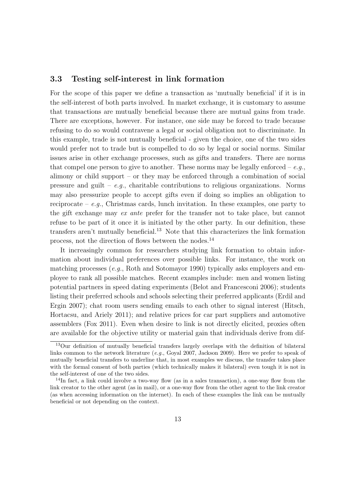#### 3.3 Testing self-interest in link formation

For the scope of this paper we define a transaction as 'mutually beneficial' if it is in the self-interest of both parts involved. In market exchange, it is customary to assume that transactions are mutually beneficial because there are mutual gains from trade. There are exceptions, however. For instance, one side may be forced to trade because refusing to do so would contravene a legal or social obligation not to discriminate. In this example, trade is not mutually beneficial - given the choice, one of the two sides would prefer not to trade but is compelled to do so by legal or social norms. Similar issues arise in other exchange processes, such as gifts and transfers. There are norms that compel one person to give to another. These norms may be legally enforced –  $e.g.,$ alimony or child support – or they may be enforced through a combination of social pressure and guilt – e.g., charitable contributions to religious organizations. Norms may also pressurize people to accept gifts even if doing so implies an obligation to reciprocate – e.g., Christmas cards, lunch invitation. In these examples, one party to the gift exchange may ex ante prefer for the transfer not to take place, but cannot refuse to be part of it once it is initiated by the other party. In our definition, these transfers aren't mutually beneficial.<sup>13</sup> Note that this characterizes the link formation process, not the direction of flows between the nodes.<sup>14</sup>

It increasingly common for researchers studying link formation to obtain information about individual preferences over possible links. For instance, the work on matching processes (e.g., Roth and Sotomayor 1990) typically asks employers and employee to rank all possible matches. Recent examples include: men and women listing potential partners in speed dating experiments (Belot and Francesconi 2006); students listing their preferred schools and schools selecting their preferred applicants (Erdil and Ergin 2007); chat room users sending emails to each other to signal interest (Hitsch, Hortacsu, and Ariely 2011); and relative prices for car part suppliers and automotive assemblers (Fox 2011). Even when desire to link is not directly elicited, proxies often are available for the objective utility or material gain that individuals derive from dif-

<sup>&</sup>lt;sup>13</sup>Our definition of mutually beneficial transfers largely overlaps with the definition of bilateral links common to the network literature (e.g., Goyal 2007, Jackson 2009). Here we prefer to speak of mutually beneficial transfers to underline that, in most examples we discuss, the transfer takes place with the formal consent of both parties (which technically makes it bilateral) even tough it is not in the self-interest of one of the two sides.

<sup>14</sup>In fact, a link could involve a two-way flow (as in a sales transaction), a one-way flow from the link creator to the other agent (as in mail), or a one-way flow from the other agent to the link creator (as when accessing information on the internet). In each of these examples the link can be mutually beneficial or not depending on the context.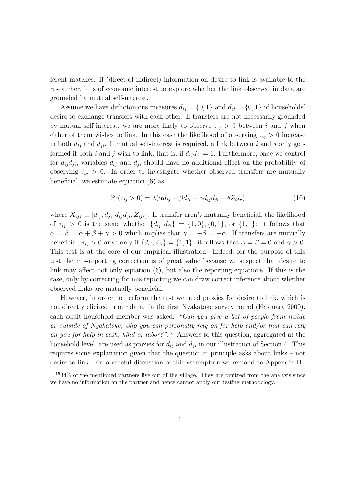ferent matches. If (direct of indirect) information on desire to link is available to the researcher, it is of economic interest to explore whether the link observed in data are grounded by mutual self-interest.

Assume we have dichotomous measures  $d_{ij} = \{0, 1\}$  and  $d_{ji} = \{0, 1\}$  of households' desire to exchange transfers with each other. If transfers are not necessarily grounded by mutual self-interest, we are more likely to observe  $\tau_{ij} > 0$  between i and j when either of them wishes to link. In this case the likelihood of observing  $\tau_{ij} > 0$  increase in both  $d_{ij}$  and  $d_{ji}$ . If mutual self-interest is required, a link between i and j only gets formed if both i and j wish to link, that is, if  $d_{ij}d_{ji} = 1$ . Furthermore, once we control for  $d_{ij}d_{ji}$ , variables  $d_{ij}$  and  $d_{ji}$  should have no additional effect on the probability of observing  $\tau_{ij} > 0$ . In order to investigate whether observed transfers are mutually beneficial, we estimate equation (6) as

$$
Pr(\tau_{ij} > 0) = \lambda(\alpha d_{ij} + \beta d_{ji} + \gamma d_{ij} d_{ji} + \theta Z_{ij\tau})
$$
\n(10)

where  $X_{ij\tau} \equiv [d_{ij}, d_{ji}, d_{ij}d_{ji}, Z_{ij\tau}]$ . If transfer aren't mutually beneficial, the likelihood of  $\tau_{ij} > 0$  is the same whether  $\{d_{ij}, d_{ji}\} = \{1, 0\}, \{0, 1\}, \text{ or } \{1, 1\}$ : it follows that  $\alpha = \beta = \alpha + \beta + \gamma > 0$  which implies that  $\gamma = -\beta = -\alpha$ . If transfers are mutually beneficial,  $\tau_{ij} > 0$  arise only if  $\{d_{ij}, d_{ji}\} = \{1, 1\}$ : it follows that  $\alpha = \beta = 0$  and  $\gamma > 0$ . This test is at the core of our empirical illustration. Indeed, for the purpose of this test the mis-reporting correction is of great value because we suspect that desire to link may affect not only equation (6), but also the reporting equations. If this is the case, only by correcting for mis-reporting we can draw correct inference about whether observed links are mutually beneficial.

However, in order to perform the test we need proxies for desire to link, which is not directly elicited in our data. In the first Nyakatoke survey round (February 2000), each adult household member was asked: "Can you give a list of people from inside or outside of Nyakatoke, who you can personally rely on for help and/or that can rely on you for help in cash, kind or labor?".<sup>15</sup> Answers to this question, aggregated at the household level, are used as proxies for  $d_{ij}$  and  $d_{ji}$  in our illustration of Section 4. This requires some explanation given that the question in principle asks about links – not desire to link. For a careful discussion of this assumption we remand to Appendix B.

<sup>15</sup>34% of the mentioned partners live out of the village. They are omitted from the analysis since we have no information on the partner and hence cannot apply our testing methodology.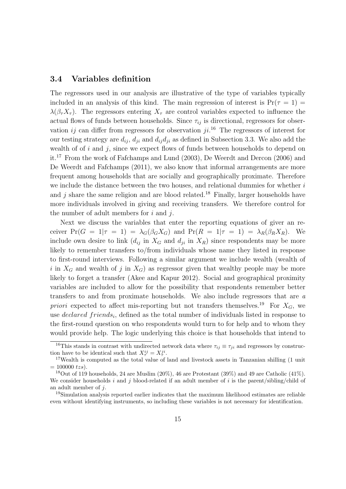#### 3.4 Variables definition

The regressors used in our analysis are illustrative of the type of variables typically included in an analysis of this kind. The main regression of interest is  $Pr(\tau = 1)$  $\lambda(\beta_\tau X_\tau)$ . The regressors entering  $X_\tau$  are control variables expected to influence the actual flows of funds between households. Since  $\tau_{ij}$  is directional, regressors for observation ij can differ from regressors for observation  $ji$ <sup>16</sup>. The regressors of interest for our testing strategy are  $d_{ij}$ ,  $d_{ji}$  and  $d_{ij}d_{ji}$  as defined in Subsection 3.3. We also add the wealth of of  $i$  and  $j$ , since we expect flows of funds between households to depend on it.<sup>17</sup> From the work of Fafchamps and Lund (2003), De Weerdt and Dercon (2006) and De Weerdt and Fafchamps (2011), we also know that informal arrangements are more frequent among households that are socially and geographically proximate. Therefore we include the distance between the two houses, and relational dummies for whether i and j share the same religion and are blood related.<sup>18</sup> Finally, larger households have more individuals involved in giving and receiving transfers. We therefore control for the number of adult members for  $i$  and  $j$ .

Next we discuss the variables that enter the reporting equations of giver an receiver  $Pr(G = 1 | \tau = 1) = \lambda_G(\beta_G X_G)$  and  $Pr(R = 1 | \tau = 1) = \lambda_R(\beta_R X_R)$ . We include own desire to link  $(d_{ij}$  in  $X_G$  and  $d_{ji}$  in  $X_R$ ) since respondents may be more likely to remember transfers to/from individuals whose name they listed in response to first-round interviews. Following a similar argument we include wealth (wealth of i in  $X_G$  and wealth of j in  $X_G$ ) as regressor given that wealthy people may be more likely to forget a transfer (Akee and Kapur 2012). Social and geographical proximity variables are included to allow for the possibility that respondents remember better transfers to and from proximate households. We also include regressors that are a priori expected to affect mis-reporting but not transfers themselves.<sup>19</sup> For  $X_G$ , we use *declared friends<sub>i</sub>*, defined as the total number of individuals listed in response to the first-round question on who respondents would turn to for help and to whom they would provide help. The logic underlying this choice is that households that intend to

<sup>&</sup>lt;sup>16</sup>This stands in contrast with undirected network data where  $\tau_{ij} \equiv \tau_{ji}$  and regressors by construction have to be identical such that  $X_{\tau}^{ij} = X_{\tau}^{ji}$ .

<sup>&</sup>lt;sup>17</sup>Wealth is computed as the total value of land and livestock assets in Tanzanian shilling (1 unit  $= 100000$  tzs).

<sup>&</sup>lt;sup>18</sup>Out of 119 households, 24 are Muslim  $(20\%)$ , 46 are Protestant  $(39\%)$  and 49 are Catholic  $(41\%)$ . We consider households i and j blood-related if an adult member of i is the parent/sibling/child of an adult member of j.

<sup>&</sup>lt;sup>19</sup>Simulation analysis reported earlier indicates that the maximum likelihood estimates are reliable even without identifying instruments, so including these variables is not necessary for identification.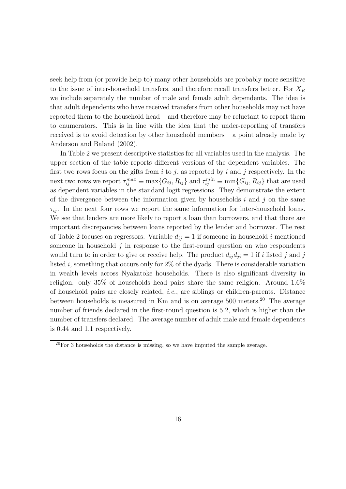seek help from (or provide help to) many other households are probably more sensitive to the issue of inter-household transfers, and therefore recall transfers better. For  $X_R$ we include separately the number of male and female adult dependents. The idea is that adult dependents who have received transfers from other households may not have reported them to the household head – and therefore may be reluctant to report them to enumerators. This is in line with the idea that the under-reporting of transfers received is to avoid detection by other household members – a point already made by Anderson and Baland (2002).

In Table 2 we present descriptive statistics for all variables used in the analysis. The upper section of the table reports different versions of the dependent variables. The first two rows focus on the gifts from  $i$  to  $j$ , as reported by  $i$  and  $j$  respectively. In the next two rows we report  $\tau_{ij}^{max} \equiv \max\{G_{ij}, R_{ij}\}\$  and  $\tau_{ij}^{min} \equiv \min\{G_{ij}, R_{ij}\}\$  that are used as dependent variables in the standard logit regressions. They demonstrate the extent of the divergence between the information given by households  $i$  and  $j$  on the same  $\tau_{ij}$ . In the next four rows we report the same information for inter-household loans. We see that lenders are more likely to report a loan than borrowers, and that there are important discrepancies between loans reported by the lender and borrower. The rest of Table 2 focuses on regressors. Variable  $d_{ij} = 1$  if someone in household i mentioned someone in household  $j$  in response to the first-round question on who respondents would turn to in order to give or receive help. The product  $d_{ij}d_{ji} = 1$  if i listed j and j listed i, something that occurs only for  $2\%$  of the dyads. There is considerable variation in wealth levels across Nyakatoke households. There is also significant diversity in religion: only 35% of households head pairs share the same religion. Around 1.6% of household pairs are closely related, i.e., are siblings or children-parents. Distance between households is measured in Km and is on average 500 meters.<sup>20</sup> The average number of friends declared in the first-round question is 5.2, which is higher than the number of transfers declared. The average number of adult male and female dependents is 0.44 and 1.1 respectively.

 $20$ For 3 households the distance is missing, so we have imputed the sample average.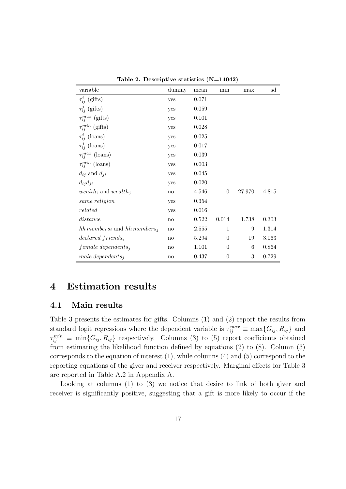| variable                                                | dummy | mean  | min              | max    | $_{\rm sd}$ |
|---------------------------------------------------------|-------|-------|------------------|--------|-------------|
| $\tau_{ij}^{i}$ (gifts)                                 | yes   | 0.071 |                  |        |             |
| $\tau_{ii}^{j}$ (gifts)                                 | yes   | 0.059 |                  |        |             |
| $\tau_{ij}^{max}$ (gifts)                               | yes   | 0.101 |                  |        |             |
| $\tau_{ij}^{min}$ (gifts)                               | yes   | 0.028 |                  |        |             |
| $\tau_{ij}^{i}$ (loans)                                 | yes   | 0.025 |                  |        |             |
| $\tau_{ij}^{j}$ (loans)                                 | yes   | 0.017 |                  |        |             |
| $\tau_{ii}^{max}$ (loans)                               | yes   | 0.039 |                  |        |             |
| $\tau_{ij}^{min}$ (loans)                               | yes   | 0.003 |                  |        |             |
| $d_{ij}$ and $d_{ji}$                                   | yes   | 0.045 |                  |        |             |
| $d_{ij}d_{ji}$                                          | yes   | 0.020 |                  |        |             |
| <i>wealth<sub>i</sub></i> and <i>wealth<sub>i</sub></i> | no    | 4.546 | $\boldsymbol{0}$ | 27.970 | 4.815       |
| same religion                                           | yes   | 0.354 |                  |        |             |
| related                                                 | yes   | 0.016 |                  |        |             |
| distance                                                | no    | 0.522 | 0.014            | 1.738  | 0.303       |
| hh members <sub>i</sub> and hh members <sub>i</sub>     | no    | 2.555 | $\mathbf{1}$     | 9      | 1.314       |
| $declared\ friends_i$                                   | no    | 5.294 | $\theta$         | 19     | 3.063       |
| $female\, depends in$                                   | no    | 1.101 | $\theta$         | 6      | 0.864       |
| male dependents,                                        | no    | 0.437 | $\boldsymbol{0}$ | $\,3$  | 0.729       |

Table 2. Descriptive statistics (N=14042)

## 4 Estimation results

#### 4.1 Main results

Table 3 presents the estimates for gifts. Columns (1) and (2) report the results from standard logit regressions where the dependent variable is  $\tau_{ij}^{max} \equiv \max\{G_{ij}, R_{ij}\}\$  and  $\tau_{ij}^{min} \equiv \min\{G_{ij}, R_{ij}\}\;$  respectively. Columns (3) to (5) report coefficients obtained from estimating the likelihood function defined by equations (2) to (8). Column (3) corresponds to the equation of interest (1), while columns (4) and (5) correspond to the reporting equations of the giver and receiver respectively. Marginal effects for Table 3 are reported in Table A.2 in Appendix A.

Looking at columns (1) to (3) we notice that desire to link of both giver and receiver is significantly positive, suggesting that a gift is more likely to occur if the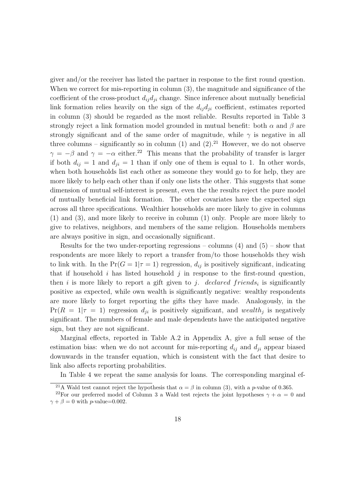giver and/or the receiver has listed the partner in response to the first round question. When we correct for mis-reporting in column  $(3)$ , the magnitude and significance of the coefficient of the cross-product  $d_{ij}d_{ji}$  change. Since inference about mutually beneficial link formation relies heavily on the sign of the  $d_{ij}d_{ji}$  coefficient, estimates reported in column (3) should be regarded as the most reliable. Results reported in Table 3 strongly reject a link formation model grounded in mutual benefit: both  $\alpha$  and  $\beta$  are strongly significant and of the same order of magnitude, while  $\gamma$  is negative in all three columns – significantly so in column (1) and (2).<sup>21</sup> However, we do not observe  $\gamma = -\beta$  and  $\gamma = -\alpha$  either.<sup>22</sup> This means that the probability of transfer is larger if both  $d_{ij} = 1$  and  $d_{ji} = 1$  than if only one of them is equal to 1. In other words, when both households list each other as someone they would go to for help, they are more likely to help each other than if only one lists the other. This suggests that some dimension of mutual self-interest is present, even the the results reject the pure model of mutually beneficial link formation. The other covariates have the expected sign across all three specifications. Wealthier households are more likely to give in columns (1) and (3), and more likely to receive in column (1) only. People are more likely to give to relatives, neighbors, and members of the same religion. Households members are always positive in sign, and occasionally significant.

Results for the two under-reporting regressions – columns  $(4)$  and  $(5)$  – show that respondents are more likely to report a transfer from/to those households they wish to link with. In the  $Pr(G = 1 | \tau = 1)$  regression,  $d_{ij}$  is positively significant, indicating that if household i has listed household j in response to the first-round question, then i is more likely to report a gift given to j. declared friends, is significantly positive as expected, while own wealth is significantly negative: wealthy respondents are more likely to forget reporting the gifts they have made. Analogously, in the  $Pr(R = 1 | \tau = 1)$  regression  $d_{ji}$  is positively significant, and wealth<sub>j</sub> is negatively significant. The numbers of female and male dependents have the anticipated negative sign, but they are not significant.

Marginal effects, reported in Table A.2 in Appendix A, give a full sense of the estimation bias: when we do not account for mis-reporting  $d_{ij}$  and  $d_{ji}$  appear biased downwards in the transfer equation, which is consistent with the fact that desire to link also affects reporting probabilities.

In Table 4 we repeat the same analysis for loans. The corresponding marginal ef-

<sup>&</sup>lt;sup>21</sup>A Wald test cannot reject the hypothesis that  $\alpha = \beta$  in column (3), with a p-value of 0.365.

<sup>&</sup>lt;sup>22</sup>For our preferred model of Column 3 a Wald test rejects the joint hypotheses  $\gamma + \alpha = 0$  and  $\gamma + \beta = 0$  with *p*-value=0.002.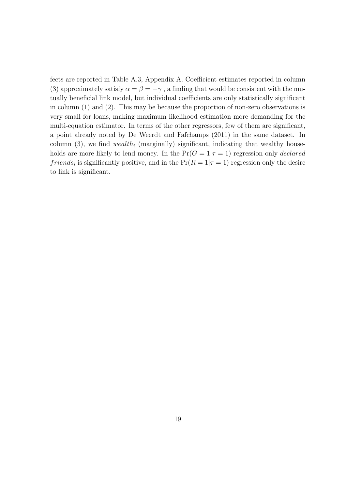fects are reported in Table A.3, Appendix A. Coefficient estimates reported in column (3) approximately satisfy  $\alpha = \beta = -\gamma$ , a finding that would be consistent with the mutually beneficial link model, but individual coefficients are only statistically significant in column (1) and (2). This may be because the proportion of non-zero observations is very small for loans, making maximum likelihood estimation more demanding for the multi-equation estimator. In terms of the other regressors, few of them are significant, a point already noted by De Weerdt and Fafchamps (2011) in the same dataset. In column (3), we find  $wealth_i$  (marginally) significant, indicating that wealthy households are more likely to lend money. In the  $Pr(G = 1 | \tau = 1)$  regression only *declared* friends<sub>i</sub> is significantly positive, and in the  $Pr(R = 1 | \tau = 1)$  regression only the desire to link is significant.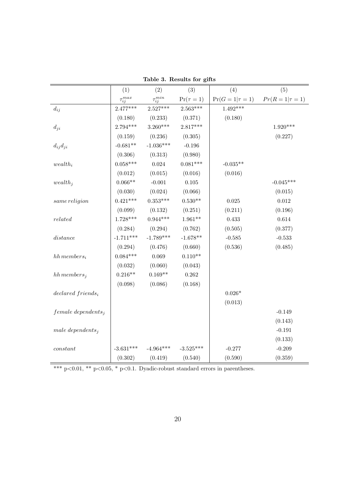|                           | (1)               | (2)               | (3)            | (4)                    | (5)                    |  |  |  |  |
|---------------------------|-------------------|-------------------|----------------|------------------------|------------------------|--|--|--|--|
|                           | $\tau_{ij}^{max}$ | $\tau_{ij}^{min}$ | $Pr(\tau = 1)$ | $Pr(G = 1   \tau = 1)$ | $Pr(R = 1   \tau = 1)$ |  |  |  |  |
| $d_{ij}$                  | $2.477***$        | $2.527***$        | $2.563***$     | $1.492***$             |                        |  |  |  |  |
|                           | (0.180)           | (0.233)           | (0.371)        | (0.180)                |                        |  |  |  |  |
| $d_{ji}$                  | 2.794***          | $3.260***$        | $2.817***$     |                        | $1.920***$             |  |  |  |  |
|                           | (0.159)           | (0.236)           | (0.305)        |                        | (0.227)                |  |  |  |  |
| $d_{ij}d_{ji}$            | $-0.681**$        | $-1.036***$       | $-0.196$       |                        |                        |  |  |  |  |
|                           | (0.306)           | (0.313)           | (0.980)        |                        |                        |  |  |  |  |
| $wealth_i$                | $0.058***$        | $\,0.024\,$       | $0.081***$     | $-0.035**$             |                        |  |  |  |  |
|                           | (0.012)           | (0.015)           | (0.016)        | (0.016)                |                        |  |  |  |  |
| $wealth_j$                | $0.066**$         | $-0.001$          | $0.105\,$      |                        | $-0.045***$            |  |  |  |  |
|                           | (0.030)           | (0.024)           | (0.066)        |                        | (0.015)                |  |  |  |  |
| same religion             | $0.421***$        | $0.353^{***}\;$   | $0.530**$      | $\,0.025\,$            | $\,0.012\,$            |  |  |  |  |
|                           | (0.099)           | (0.132)           | (0.251)        | (0.211)                | (0.196)                |  |  |  |  |
| related                   | $1.728***$        | $0.944***$        | $1.961**$      | 0.433                  | $\,0.614\,$            |  |  |  |  |
|                           | (0.284)           | (0.294)           | (0.762)        | (0.505)                | (0.377)                |  |  |  |  |
| $distance \\$             | $-1.711***$       | $-1.789***$       | $-1.678**$     | $-0.585$               | $\text{-}0.533$        |  |  |  |  |
|                           | (0.294)           | (0.476)           | (0.660)        | (0.536)                | (0.485)                |  |  |  |  |
| $hh$ members <sub>i</sub> | $0.084***$        | 0.069             | $0.110**$      |                        |                        |  |  |  |  |
|                           | (0.032)           | (0.060)           | (0.043)        |                        |                        |  |  |  |  |
| $hh$ members <sub>j</sub> | $0.216**$         | $0.169**$         | 0.262          |                        |                        |  |  |  |  |
|                           | (0.098)           | (0.086)           | (0.168)        |                        |                        |  |  |  |  |
| $declared\ friends_i$     |                   |                   |                | $0.026*$               |                        |  |  |  |  |
|                           |                   |                   |                | (0.013)                |                        |  |  |  |  |
| $female\ depends on$      |                   |                   |                |                        | $-0.149$               |  |  |  |  |
|                           |                   |                   |                |                        | (0.143)                |  |  |  |  |
| male dependents $_i$      |                   |                   |                |                        | $-0.191$               |  |  |  |  |
|                           |                   |                   |                |                        | (0.133)                |  |  |  |  |
| $constant$                | $-3.631***$       | $-4.964***$       | $-3.525***$    | $-0.277$               | $-0.209$               |  |  |  |  |
|                           | (0.302)           | (0.419)           | (0.540)        | (0.590)                | (0.359)                |  |  |  |  |

Table 3. Results for gifts

\*\*\* p<0.01, \*\* p<0.05, \* p<0.1. Dyadic-robust standard errors in parentheses.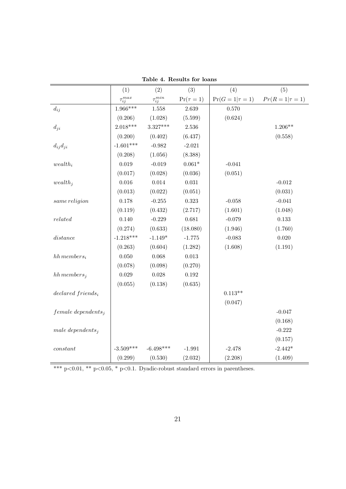|                           | (1)               | (2)               | (3)            | (4)                    | (5)                    |  |  |  |  |
|---------------------------|-------------------|-------------------|----------------|------------------------|------------------------|--|--|--|--|
|                           | $\tau_{ij}^{max}$ | $\tau_{ij}^{min}$ | $Pr(\tau = 1)$ | $Pr(G = 1   \tau = 1)$ | $Pr(R = 1   \tau = 1)$ |  |  |  |  |
| $d_{ij}$                  | $1.966***$        | 1.558             | 2.639          | 0.570                  |                        |  |  |  |  |
|                           | (0.206)           | (1.028)           | (5.599)        | (0.624)                |                        |  |  |  |  |
| $d_{ji}$                  | $2.018***$        | 3.327***          | 2.536          |                        | $1.206**$              |  |  |  |  |
|                           | (0.200)           | (0.402)           | (6.437)        |                        | (0.558)                |  |  |  |  |
| $d_{ij}d_{ji}$            | $-1.601***$       | $-0.982$          | $-2.021$       |                        |                        |  |  |  |  |
|                           | (0.208)           | (1.056)           | (8.388)        |                        |                        |  |  |  |  |
| $wealth_i$                | 0.019             | $-0.019$          | $0.061^{\ast}$ | $-0.041$               |                        |  |  |  |  |
|                           | (0.017)           | (0.028)           | (0.036)        | (0.051)                |                        |  |  |  |  |
| wealth <sub>i</sub>       | $0.016\,$         | 0.014             | $\,0.031\,$    |                        | $-0.012$               |  |  |  |  |
|                           | (0.013)           | (0.022)           | (0.051)        |                        | (0.031)                |  |  |  |  |
| same religion             | 0.178             | $-0.255$          | 0.323          | $-0.058$               | $-0.041$               |  |  |  |  |
|                           | (0.119)           | (0.432)           | (2.717)        | (1.601)                | (1.048)                |  |  |  |  |
| related                   | 0.140             | $-0.229$          | 0.681          | $-0.079$               | $0.133\,$              |  |  |  |  |
|                           | (0.274)           | (0.633)           | (18.080)       | (1.946)                | (1.760)                |  |  |  |  |
| distance                  | $-1.218***$       | $-1.149*$         | $-1.775$       | $-0.083$               | 0.020                  |  |  |  |  |
|                           | (0.263)           | (0.604)           | (1.282)        | (1.608)                | (1.191)                |  |  |  |  |
| $hh$ members <sub>i</sub> | $0.050\,$         | 0.068             | $\,0.013\,$    |                        |                        |  |  |  |  |
|                           | (0.078)           | (0.098)           | (0.270)        |                        |                        |  |  |  |  |
| $hh$ members <sub>i</sub> | $\,0.029\,$       | $0.028\,$         | $\,0.192\,$    |                        |                        |  |  |  |  |
|                           | (0.055)           | (0.138)           | (0.635)        |                        |                        |  |  |  |  |
| $declared\ friends_i$     |                   |                   |                | $0.113**$              |                        |  |  |  |  |
|                           |                   |                   |                | (0.047)                |                        |  |  |  |  |
| $female\, depends in$     |                   |                   |                |                        | $-0.047$               |  |  |  |  |
|                           |                   |                   |                |                        | (0.168)                |  |  |  |  |
| male dependents;          |                   |                   |                |                        | $-0.222$               |  |  |  |  |
|                           |                   |                   |                |                        | (0.157)                |  |  |  |  |
| constant                  | $-3.509***$       | $-6.498***$       | $-1.991$       | $-2.478$               | $-2.442*$              |  |  |  |  |
|                           | (0.299)           | (0.530)           | (2.032)        | (2.208)                | (1.409)                |  |  |  |  |

Table 4. Results for loans

 $\overline{\text{*** p<0.01, ** p<0.05, * p<0.1. Dyadic-robust standard errors in parentheses.}}$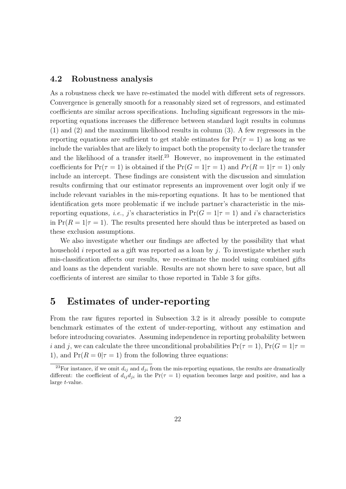#### 4.2 Robustness analysis

As a robustness check we have re-estimated the model with different sets of regressors. Convergence is generally smooth for a reasonably sized set of regressors, and estimated coefficients are similar across specifications. Including significant regressors in the misreporting equations increases the difference between standard logit results in columns (1) and (2) and the maximum likelihood results in column (3). A few regressors in the reporting equations are sufficient to get stable estimates for  $Pr(\tau = 1)$  as long as we include the variables that are likely to impact both the propensity to declare the transfer and the likelihood of a transfer itself.<sup>23</sup> However, no improvement in the estimated coefficients for  $Pr(\tau = 1)$  is obtained if the  $Pr(G = 1 | \tau = 1)$  and  $Pr(R = 1 | \tau = 1)$  only include an intercept. These findings are consistent with the discussion and simulation results confirming that our estimator represents an improvement over logit only if we include relevant variables in the mis-reporting equations. It has to be mentioned that identification gets more problematic if we include partner's characteristic in the misreporting equations, *i.e.*, *j*'s characteristics in  $Pr(G = 1 | \tau = 1)$  and *i*'s characteristics in  $Pr(R = 1|\tau = 1)$ . The results presented here should thus be interpreted as based on these exclusion assumptions.

We also investigate whether our findings are affected by the possibility that what household i reported as a gift was reported as a loan by j. To investigate whether such mis-classification affects our results, we re-estimate the model using combined gifts and loans as the dependent variable. Results are not shown here to save space, but all coefficients of interest are similar to those reported in Table 3 for gifts.

### 5 Estimates of under-reporting

From the raw figures reported in Subsection 3.2 is it already possible to compute benchmark estimates of the extent of under-reporting, without any estimation and before introducing covariates. Assuming independence in reporting probability between i and j, we can calculate the three unconditional probabilities  $Pr(\tau = 1)$ ,  $Pr(G = 1 | \tau =$ 1), and  $Pr(R = 0 | \tau = 1)$  from the following three equations:

<sup>&</sup>lt;sup>23</sup>For instance, if we omit  $d_{ij}$  and  $d_{ji}$  from the mis-reporting equations, the results are dramatically different: the coefficient of  $d_{ij}d_{ji}$  in the  $Pr(\tau = 1)$  equation becomes large and positive, and has a large t-value.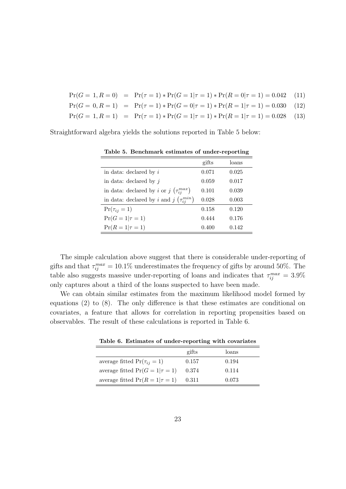- $Pr(G = 1, R = 0) = Pr(\tau = 1) * Pr(G = 1 | \tau = 1) * Pr(R = 0 | \tau = 1) = 0.042$  (11)
- $Pr(G = 0, R = 1) = Pr(\tau = 1) * Pr(G = 0 | \tau = 1) * Pr(R = 1 | \tau = 1) = 0.030$  (12)
- $Pr(G = 1, R = 1) = Pr(\tau = 1) * Pr(G = 1|\tau = 1) * Pr(R = 1|\tau = 1) = 0.028$  (13)

Straightforward algebra yields the solutions reported in Table 5 below:

|                                                               | gifts | loans |
|---------------------------------------------------------------|-------|-------|
| in data: declared by $i$                                      | 0.071 | 0.025 |
| in data: declared by $j$                                      | 0.059 | 0.017 |
| in data: declared by <i>i</i> or <i>j</i> $(\tau_{ii}^{max})$ | 0.101 | 0.039 |
| in data: declared by i and j $(\tau_{ii}^{min})$              | 0.028 | 0.003 |
| $Pr(\tau_{ij}=1)$                                             | 0.158 | 0.120 |
| $Pr(G = 1   \tau = 1)$                                        | 0.444 | 0.176 |
| $Pr(R = 1   \tau = 1)$                                        | 0.400 | 0.142 |

Table 5. Benchmark estimates of under-reporting

The simple calculation above suggest that there is considerable under-reporting of gifts and that  $\tau_{ij}^{max} = 10.1\%$  underestimates the frequency of gifts by around 50%. The table also suggests massive under-reporting of loans and indicates that  $\tau_{ij}^{max} = 3.9\%$ only captures about a third of the loans suspected to have been made.

We can obtain similar estimates from the maximum likelihood model formed by equations (2) to (8). The only difference is that these estimates are conditional on covariates, a feature that allows for correlation in reporting propensities based on observables. The result of these calculations is reported in Table 6.

| Table 6. Estimates of under-reporting with covariates |  |  |  |
|-------------------------------------------------------|--|--|--|
|                                                       |  |  |  |

|                                       | gifts | loans |  |
|---------------------------------------|-------|-------|--|
| average fitted $Pr(\tau_{ij} = 1)$    | 0.157 | 0.194 |  |
| average fitted $Pr(G = 1   \tau = 1)$ | 0.374 | 0.114 |  |
| average fitted $Pr(R = 1   \tau = 1)$ | 0.311 | 0.073 |  |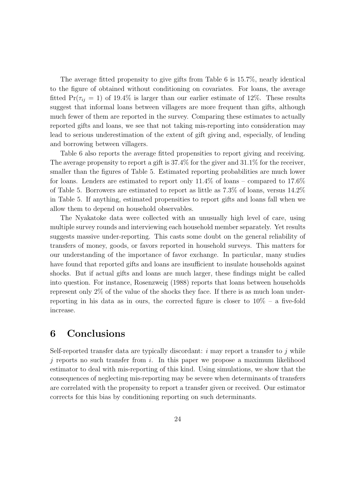The average fitted propensity to give gifts from Table 6 is 15.7%, nearly identical to the figure of obtained without conditioning on covariates. For loans, the average fitted  $Pr(\tau_{ij} = 1)$  of 19.4% is larger than our earlier estimate of 12%. These results suggest that informal loans between villagers are more frequent than gifts, although much fewer of them are reported in the survey. Comparing these estimates to actually reported gifts and loans, we see that not taking mis-reporting into consideration may lead to serious underestimation of the extent of gift giving and, especially, of lending and borrowing between villagers.

Table 6 also reports the average fitted propensities to report giving and receiving. The average propensity to report a gift is 37.4% for the giver and 31.1% for the receiver, smaller than the figures of Table 5. Estimated reporting probabilities are much lower for loans. Lenders are estimated to report only 11.4% of loans – compared to 17.6% of Table 5. Borrowers are estimated to report as little as 7.3% of loans, versus 14.2% in Table 5. If anything, estimated propensities to report gifts and loans fall when we allow them to depend on household observables.

The Nyakatoke data were collected with an unusually high level of care, using multiple survey rounds and interviewing each household member separately. Yet results suggests massive under-reporting. This casts some doubt on the general reliability of transfers of money, goods, or favors reported in household surveys. This matters for our understanding of the importance of favor exchange. In particular, many studies have found that reported gifts and loans are insufficient to insulate households against shocks. But if actual gifts and loans are much larger, these findings might be called into question. For instance, Rosenzweig (1988) reports that loans between households represent only 2% of the value of the shocks they face. If there is as much loan underreporting in his data as in ours, the corrected figure is closer to  $10\%$  – a five-fold increase.

## 6 Conclusions

Self-reported transfer data are typically discordant:  $i$  may report a transfer to  $j$  while j reports no such transfer from i. In this paper we propose a maximum likelihood estimator to deal with mis-reporting of this kind. Using simulations, we show that the consequences of neglecting mis-reporting may be severe when determinants of transfers are correlated with the propensity to report a transfer given or received. Our estimator corrects for this bias by conditioning reporting on such determinants.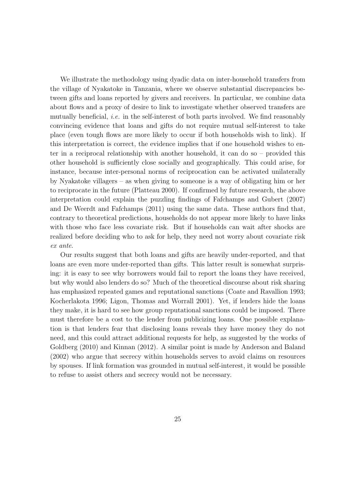We illustrate the methodology using dyadic data on inter-household transfers from the village of Nyakatoke in Tanzania, where we observe substantial discrepancies between gifts and loans reported by givers and receivers. In particular, we combine data about flows and a proxy of desire to link to investigate whether observed transfers are mutually beneficial, *i.e.* in the self-interest of both parts involved. We find reasonably convincing evidence that loans and gifts do not require mutual self-interest to take place (even tough flows are more likely to occur if both households wish to link). If this interpretation is correct, the evidence implies that if one household wishes to enter in a reciprocal relationship with another household, it can do so – provided this other household is sufficiently close socially and geographically. This could arise, for instance, because inter-personal norms of reciprocation can be activated unilaterally by Nyakatoke villagers – as when giving to someone is a way of obligating him or her to reciprocate in the future (Platteau 2000). If confirmed by future research, the above interpretation could explain the puzzling findings of Fafchamps and Gubert (2007) and De Weerdt and Fafchamps (2011) using the same data. These authors find that, contrary to theoretical predictions, households do not appear more likely to have links with those who face less covariate risk. But if households can wait after shocks are realized before deciding who to ask for help, they need not worry about covariate risk ex ante.

Our results suggest that both loans and gifts are heavily under-reported, and that loans are even more under-reported than gifts. This latter result is somewhat surprising: it is easy to see why borrowers would fail to report the loans they have received, but why would also lenders do so? Much of the theoretical discourse about risk sharing has emphasized repeated games and reputational sanctions (Coate and Ravallion 1993; Kocherlakota 1996; Ligon, Thomas and Worrall 2001). Yet, if lenders hide the loans they make, it is hard to see how group reputational sanctions could be imposed. There must therefore be a cost to the lender from publicizing loans. One possible explanation is that lenders fear that disclosing loans reveals they have money they do not need, and this could attract additional requests for help, as suggested by the works of Goldberg (2010) and Kinnan (2012). A similar point is made by Anderson and Baland (2002) who argue that secrecy within households serves to avoid claims on resources by spouses. If link formation was grounded in mutual self-interest, it would be possible to refuse to assist others and secrecy would not be necessary.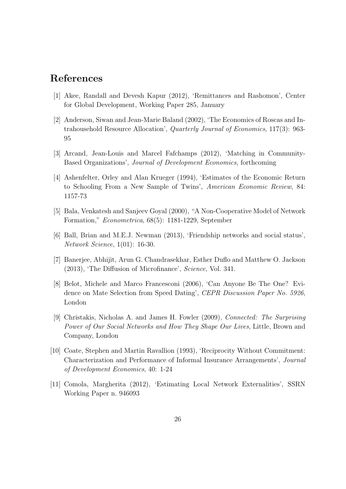## References

- [1] Akee, Randall and Devesh Kapur (2012), 'Remittances and Rashomon', Center for Global Development, Working Paper 285, January
- [2] Anderson, Siwan and Jean-Marie Baland (2002), 'The Economics of Roscas and Intrahousehold Resource Allocation', Quarterly Journal of Economics, 117(3): 963- 95
- [3] Arcand, Jean-Louis and Marcel Fafchamps (2012), 'Matching in Community-Based Organizations', Journal of Development Economics, forthcoming
- [4] Ashenfelter, Orley and Alan Krueger (1994), 'Estimates of the Economic Return to Schooling From a New Sample of Twins', American Economic Review, 84: 1157-73
- [5] Bala, Venkatesh and Sanjeev Goyal (2000), "A Non-Cooperative Model of Network Formation," Econometrica, 68(5): 1181-1229, September
- [6] Ball, Brian and M.E.J. Newman (2013), 'Friendship networks and social status', Network Science, 1(01): 16-30.
- [7] Banerjee, Abhijit, Arun G. Chandrasekhar, Esther Duflo and Matthew O. Jackson (2013), 'The Diffusion of Microfinance', Science, Vol. 341.
- [8] Belot, Michele and Marco Francesconi (2006), 'Can Anyone Be The One? Evidence on Mate Selection from Speed Dating', CEPR Discussion Paper No. 5926, London
- [9] Christakis, Nicholas A. and James H. Fowler (2009), Connected: The Surprising Power of Our Social Networks and How They Shape Our Lives, Little, Brown and Company, London
- [10] Coate, Stephen and Martin Ravallion (1993), 'Reciprocity Without Commitment: Characterization and Performance of Informal Insurance Arrangements', Journal of Development Economics, 40: 1-24
- [11] Comola, Margherita (2012), 'Estimating Local Network Externalities', SSRN Working Paper n. 946093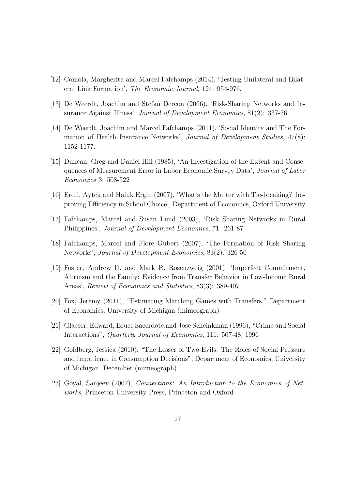- [12] Comola, Margherita and Marcel Fafchamps (2014), 'Testing Unilateral and Bilateral Link Formation', The Economic Journal, 124: 954-976.
- [13] De Weerdt, Joachim and Stefan Dercon (2006), 'Risk-Sharing Networks and Insurance Against Illness', Journal of Development Economics, 81(2): 337-56
- [14] De Weerdt, Joachim and Marcel Fafchamps (2011), 'Social Identity and The Formation of Health Insurance Networks', Journal of Development Studies, 47(8): 1152-1177.
- [15] Duncan, Greg and Daniel Hill (1985), 'An Investigation of the Extent and Consequences of Measurement Error in Labor Economic Survey Data', Journal of Labor Economics 3: 508-522
- [16] Erdil, Aytek and Haluk Ergin (2007), 'What's the Matter with Tie-breaking? Improving Efficiency in School Choice', Department of Economics, Oxford University
- [17] Fafchamps, Marcel and Susan Lund (2003), 'Risk Sharing Networks in Rural Philippines', Journal of Development Economics, 71: 261-87
- [18] Fafchamps, Marcel and Flore Gubert (2007), 'The Formation of Risk Sharing Networks', Journal of Development Economics, 83(2): 326-50
- [19] Foster, Andrew D. and Mark R. Rosenzweig (2001), 'Imperfect Commitment, Altruism and the Family: Evidence from Transfer Behavior in Low-Income Rural Areas', Review of Economics and Statistics, 83(3): 389-407
- [20] Fox, Jeremy (2011), "Estimating Matching Games with Transfers," Department of Economics, University of Michigan (mimeograph)
- [21] Glaeser, Edward, Bruce Sacerdote,and Jose Scheinkman (1996), "Crime and Social Interactions", Quarterly Journal of Economics, 111: 507-48, 1996
- [22] Goldberg, Jessica (2010), "The Lesser of Two Evils: The Roles of Social Pressure and Impatience in Consumption Decisions", Department of Economics, University of Michigan. December (mimeograph)
- [23] Goyal, Sanjeev (2007), Connections: An Introduction to the Economics of Networks, Princeton University Press, Princeton and Oxford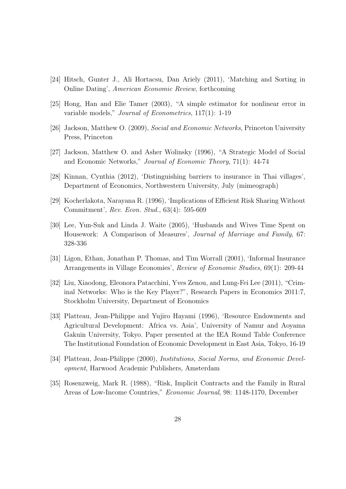- [24] Hitsch, Gunter J., Ali Hortacsu, Dan Ariely (2011), 'Matching and Sorting in Online Dating', American Economic Review, forthcoming
- [25] Hong, Han and Elie Tamer (2003), "A simple estimator for nonlinear error in variable models," Journal of Econometrics, 117(1): 1-19
- [26] Jackson, Matthew O. (2009), Social and Economic Networks, Princeton University Press, Princeton
- [27] Jackson, Matthew O. and Asher Wolinsky (1996), "A Strategic Model of Social and Economic Networks," Journal of Economic Theory, 71(1): 44-74
- [28] Kinnan, Cynthia (2012), 'Distinguishing barriers to insurance in Thai villages', Department of Economics, Northwestern University, July (mimeograph)
- [29] Kocherlakota, Narayana R. (1996), 'Implications of Efficient Risk Sharing Without Commitment', Rev. Econ. Stud., 63(4): 595-609
- [30] Lee, Yun-Suk and Linda J. Waite (2005), 'Husbands and Wives Time Spent on Housework: A Comparison of Measures', Journal of Marriage and Family, 67: 328-336
- [31] Ligon, Ethan, Jonathan P. Thomas, and Tim Worrall (2001), 'Informal Insurance Arrangements in Village Economies', Review of Economic Studies, 69(1): 209-44
- [32] Liu, Xiaodong, Eleonora Patacchini, Yves Zenou, and Lung-Fei Lee (2011), "Criminal Networks: Who is the Key Player?", Research Papers in Economics 2011:7, Stockholm University, Department of Economics
- [33] Platteau, Jean-Philippe and Yujiro Hayami (1996), 'Resource Endowments and Agricultural Development: Africa vs. Asia', University of Namur and Aoyama Gakuin University, Tokyo. Paper presented at the IEA Round Table Conference The Institutional Foundation of Economic Development in East Asia, Tokyo, 16-19
- [34] Platteau, Jean-Philippe (2000), *Institutions, Social Norms, and Economic Devel*opment, Harwood Academic Publishers, Amsterdam
- [35] Rosenzweig, Mark R. (1988), "Risk, Implicit Contracts and the Family in Rural Areas of Low-Income Countries," Economic Journal, 98: 1148-1170, December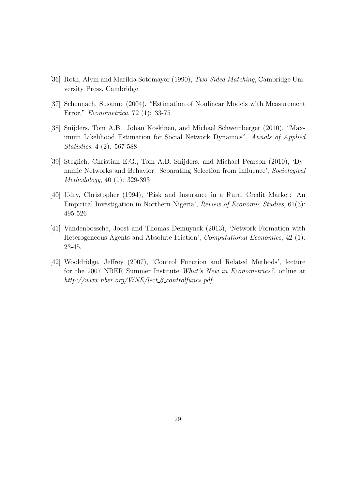- [36] Roth, Alvin and Marilda Sotomayor (1990), Two-Sided Matching, Cambridge University Press, Cambridge
- [37] Schennach, Susanne (2004), "Estimation of Nonlinear Models with Measurement Error," Econometrica, 72 (1): 33-75
- [38] Snijders, Tom A.B., Johan Koskinen, and Michael Schweinberger (2010), "Maximum Likelihood Estimation for Social Network Dynamics", Annals of Applied Statistics, 4 (2): 567-588
- [39] Steglich, Christian E.G., Tom A.B. Snijders, and Michael Pearson (2010), 'Dynamic Networks and Behavior: Separating Selection from Influence', Sociological Methodology, 40 (1): 329-393
- [40] Udry, Christopher (1994), 'Risk and Insurance in a Rural Credit Market: An Empirical Investigation in Northern Nigeria', Review of Economic Studies, 61(3): 495-526
- [41] Vandenbossche, Joost and Thomas Demuynck (2013), 'Network Formation with Heterogeneous Agents and Absolute Friction', Computational Economics, 42 (1): 23-45.
- [42] Wooldridge, Jeffrey (2007), 'Control Function and Related Methods', lecture for the 2007 NBER Summer Institute What's New in Econometrics?, online at http://www.nber.org/WNE/lect\_6\_controlfuncs.pdf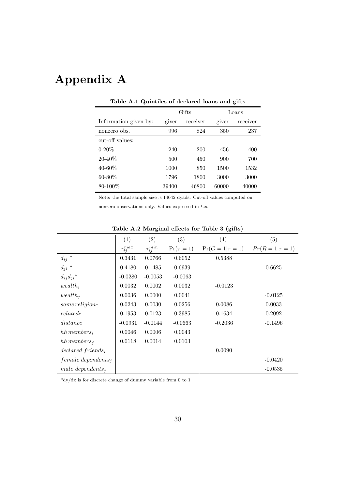# Appendix A

| rasic rrix quintence or accidence round and glite |       |          |       |          |  |  |  |  |
|---------------------------------------------------|-------|----------|-------|----------|--|--|--|--|
|                                                   |       | Gifts    | Loans |          |  |  |  |  |
| Information given by:                             | giver | receiver | giver | receiver |  |  |  |  |
| nonzero obs.                                      | 996   | 824      | 350   | 237      |  |  |  |  |
| cut-off values:                                   |       |          |       |          |  |  |  |  |
| $0 - 20\%$                                        | 240   | 200      | 456   | 400      |  |  |  |  |
| $20 - 40\%$                                       | 500   | 450      | 900   | 700      |  |  |  |  |
| 40-60%                                            | 1000  | 850      | 1500  | 1532     |  |  |  |  |
| 60-80%                                            | 1796  | 1800     | 3000  | 3000     |  |  |  |  |
| 80-100%                                           | 39400 | 46800    | 60000 | 40000    |  |  |  |  |
|                                                   |       |          |       |          |  |  |  |  |

Table A.1 Quintiles of declared loans and gifts

Note: the total sample size is 14042 dyads. Cut-off values computed on

nonzero observations only. Values expressed in tzs.

|                           | (1)               | (2)               | (3)            | (4)                    | (5)                    |
|---------------------------|-------------------|-------------------|----------------|------------------------|------------------------|
|                           | $\tau_{ij}^{max}$ | $\tau_{ij}^{min}$ | $Pr(\tau = 1)$ | $Pr(G = 1   \tau = 1)$ | $Pr(R = 1   \tau = 1)$ |
| $d_{ij}$ *                | 0.3431            | 0.0766            | 0.6052         | 0.5388                 |                        |
| $d_{ji}$ *                | 0.4180            | 0.1485            | 0.6939         |                        | 0.6625                 |
| $d_{ij}d_{ji}$ *          | $-0.0280$         | $-0.0053$         | $-0.0063$      |                        |                        |
| $wealth_i$                | 0.0032            | 0.0002            | 0.0032         | $-0.0123$              |                        |
| $wealth_i$                | 0.0036            | 0.0000            | 0.0041         |                        | $-0.0125$              |
| $same$ $religion*$        | 0.0243            | 0.0030            | 0.0256         | 0.0086                 | 0.0033                 |
| $related*$                | 0.1953            | 0.0123            | 0.3985         | 0.1634                 | 0.2092                 |
| distance                  | $-0.0931$         | $-0.0144$         | $-0.0663$      | $-0.2036$              | $-0.1496$              |
| $hh$ members <sub>i</sub> | 0.0046            | 0.0006            | 0.0043         |                        |                        |
| $hh$ members <sub>i</sub> | 0.0118            | 0.0014            | 0.0103         |                        |                        |
| $declared\ friends_i$     |                   |                   |                | 0.0090                 |                        |
| $female\, depends in$     |                   |                   |                |                        | $-0.0420$              |
| male dependents,          |                   |                   |                |                        | $-0.0535$              |

Table A.2 Marginal effects for Table 3 (gifts)

 $*dy/dx$  is for discrete change of dummy variable from 0 to 1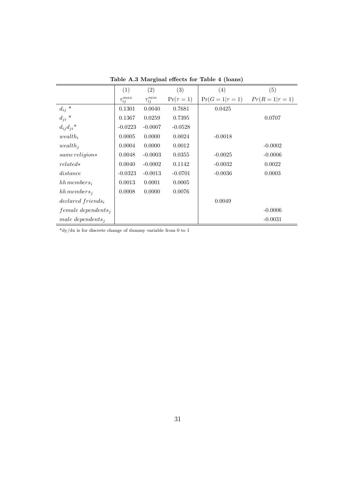|                           | (1)               | (2)               | (3)            | (4)                    | (5)                    |
|---------------------------|-------------------|-------------------|----------------|------------------------|------------------------|
|                           | $\tau_{ij}^{max}$ | $\tau_{ij}^{min}$ | $Pr(\tau = 1)$ | $Pr(G = 1   \tau = 1)$ | $Pr(R = 1   \tau = 1)$ |
| $d_{ij}$ *                | 0.1301            | 0.0040            | 0.7681         | 0.0425                 |                        |
| $d_{ji}$ *                | 0.1367            | 0.0259            | 0.7395         |                        | 0.0707                 |
| $d_{ij}d_{ji}$ *          | $-0.0223$         | $-0.0007$         | $-0.0528$      |                        |                        |
| $wealth_i$                | 0.0005            | 0.0000            | 0.0024         | $-0.0018$              |                        |
| $wealth_i$                | 0.0004            | 0.0000            | 0.0012         |                        | $-0.0002$              |
| $same$ $religion*$        | 0.0048            | $-0.0003$         | 0.0355         | $-0.0025$              | $-0.0006$              |
| $related*$                | 0.0040            | $-0.0002$         | 0.1142         | $-0.0032$              | 0.0022                 |
| distance                  | $-0.0323$         | $-0.0013$         | $-0.0701$      | $-0.0036$              | 0.0003                 |
| $hh$ members <sub>i</sub> | 0.0013            | 0.0001            | 0.0005         |                        |                        |
| hh members <sub>i</sub>   | 0.0008            | 0.0000            | 0.0076         |                        |                        |
| $declated\ friends_i$     |                   |                   |                | 0.0049                 |                        |
| $female\, depends in$     |                   |                   |                |                        | $-0.0006$              |
| male dependents,          |                   |                   |                |                        | $-0.0031$              |

Table A.3 Marginal effects for Table 4 (loans)

 $\mathrm{^*dy/dx}$  is for discrete change of dummy variable from 0 to 1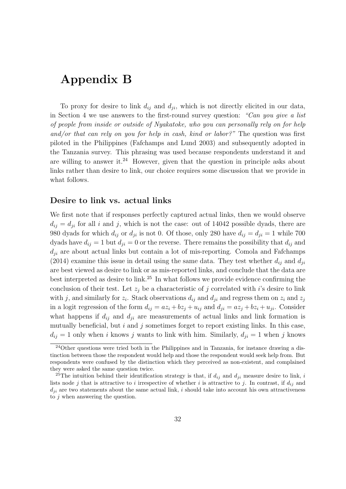## Appendix B

To proxy for desire to link  $d_{ij}$  and  $d_{ji}$ , which is not directly elicited in our data, in Section 4 we use answers to the first-round survey question: "Can you give a list of people from inside or outside of Nyakatoke, who you can personally rely on for help and/or that can rely on you for help in cash, kind or labor?" The question was first piloted in the Philippines (Fafchamps and Lund 2003) and subsequently adopted in the Tanzania survey. This phrasing was used because respondents understand it and are willing to answer it.<sup>24</sup> However, given that the question in principle asks about links rather than desire to link, our choice requires some discussion that we provide in what follows.

#### Desire to link vs. actual links

We first note that if responses perfectly captured actual links, then we would observe  $d_{ij} = d_{ji}$  for all i and j, which is not the case: out of 14042 possible dyads, there are 980 dyads for which  $d_{ij}$  or  $d_{ji}$  is not 0. Of those, only 280 have  $d_{ij} = d_{ji} = 1$  while 700 dyads have  $d_{ij} = 1$  but  $d_{ji} = 0$  or the reverse. There remains the possibility that  $d_{ij}$  and  $d_{ji}$  are about actual links but contain a lot of mis-reporting. Comola and Fafchamps (2014) examine this issue in detail using the same data. They test whether  $d_{ij}$  and  $d_{ji}$ are best viewed as desire to link or as mis-reported links, and conclude that the data are best interpreted as desire to link.<sup>25</sup> In what follows we provide evidence confirming the conclusion of their test. Let  $z_i$  be a characteristic of j correlated with i's desire to link with j, and similarly for  $z_i$ . Stack observations  $d_{ij}$  and  $d_{ji}$  and regress them on  $z_i$  and  $z_j$ in a logit regression of the form  $d_{ij} = az_i + bz_j + u_{ij}$  and  $d_{ji} = az_j + bz_i + u_{ji}$ . Consider what happens if  $d_{ij}$  and  $d_{ji}$  are measurements of actual links and link formation is mutually beneficial, but  $i$  and  $j$  sometimes forget to report existing links. In this case,  $d_{ij} = 1$  only when i knows j wants to link with him. Similarly,  $d_{ji} = 1$  when j knows

<sup>&</sup>lt;sup>24</sup>Other questions were tried both in the Philippines and in Tanzania, for instance drawing a distinction between those the respondent would help and those the respondent would seek help from. But respondents were confused by the distinction which they perceived as non-existent, and complained they were asked the same question twice.

<sup>&</sup>lt;sup>25</sup>The intuition behind their identification strategy is that, if  $d_{ij}$  and  $d_{ji}$  measure desire to link, i lists node j that is attractive to i irrespective of whether i is attractive to j. In contrast, if  $d_{ij}$  and  $d_{ji}$  are two statements about the same actual link, i should take into account his own attractiveness to j when answering the question.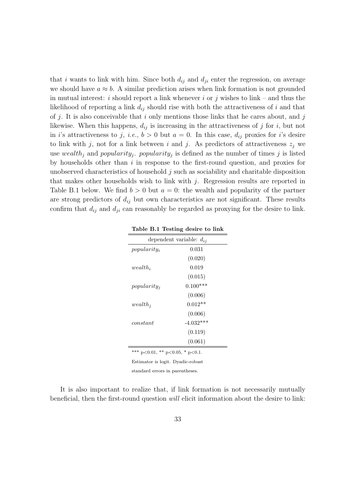that i wants to link with him. Since both  $d_{ij}$  and  $d_{ji}$  enter the regression, on average we should have  $a \approx b$ . A similar prediction arises when link formation is not grounded in mutual interest: i should report a link whenever i or j wishes to link – and thus the likelihood of reporting a link  $d_{ij}$  should rise with both the attractiveness of i and that of j. It is also conceivable that i only mentions those links that he cares about, and j likewise. When this happens,  $d_{ij}$  is increasing in the attractiveness of j for i, but not in i's attractiveness to j, i.e.,  $b > 0$  but  $a = 0$ . In this case,  $d_{ij}$  proxies for i's desire to link with j, not for a link between i and j. As predictors of attractiveness  $z_j$  we use wealth<sub>j</sub> and popularity<sub>j</sub>. popularity<sub>j</sub> is defined as the number of times j is listed by households other than  $i$  in response to the first-round question, and proxies for unobserved characteristics of household j such as sociability and charitable disposition that makes other households wish to link with  $j$ . Regression results are reported in Table B.1 below. We find  $b > 0$  but  $a = 0$ : the wealth and popularity of the partner are strong predictors of  $d_{ij}$  but own characteristics are not significant. These results confirm that  $d_{ij}$  and  $d_{ji}$  can reasonably be regarded as proxying for the desire to link.

|                              | rable D.1 results desire to film |  |  |  |  |
|------------------------------|----------------------------------|--|--|--|--|
| dependent variable: $d_{ij}$ |                                  |  |  |  |  |
| $popularity_i$               | 0.031                            |  |  |  |  |
|                              | (0.020)                          |  |  |  |  |
| $wealth_i$                   | 0.019                            |  |  |  |  |
|                              | (0.015)                          |  |  |  |  |
| $popularity_i$               | $0.100***$                       |  |  |  |  |
|                              | (0.006)                          |  |  |  |  |
| $wealth_i$                   | $0.012**$                        |  |  |  |  |
|                              | (0.006)                          |  |  |  |  |
| constant                     | $-4.032***$                      |  |  |  |  |
|                              | (0.119)                          |  |  |  |  |
|                              | (0.061)                          |  |  |  |  |

Table B.1 Testing desire to link

\*\*\* p<0.01, \*\* p<0.05, \* p<0.1.

Estimator is logit. Dyadic-robust

standard errors in parentheses.

It is also important to realize that, if link formation is not necessarily mutually beneficial, then the first-round question will elicit information about the desire to link: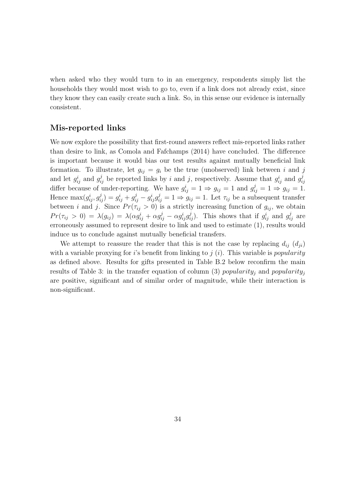when asked who they would turn to in an emergency, respondents simply list the households they would most wish to go to, even if a link does not already exist, since they know they can easily create such a link. So, in this sense our evidence is internally consistent.

#### Mis-reported links

We now explore the possibility that first-round answers reflect mis-reported links rather than desire to link, as Comola and Fafchamps (2014) have concluded. The difference is important because it would bias our test results against mutually beneficial link formation. To illustrate, let  $g_{ii} = g_i$  be the true (unobserved) link between i and j and let  $g_{ij}^i$  and  $g_{ij}^j$  be reported links by i and j, respectively. Assume that  $g_{ij}^i$  and  $g_{i}^j$ ij differ because of under-reporting. We have  $g_{ij}^i = 1 \Rightarrow g_{ij} = 1$  and  $g_{ij}^j = 1 \Rightarrow g_{ij} = 1$ . Hence  $\max(g_{ij}^i, g_{ij}^j) = g_{ij}^i + g_{ij}^j - g_{ij}^i g_{ij}^j = 1 \Rightarrow g_{ij} = 1$ . Let  $\tau_{ij}$  be a subsequent transfer between i and j. Since  $Pr(\tau_{ij} > 0)$  is a strictly increasing function of  $g_{ij}$ , we obtain  $Pr(\tau_{ij} > 0) = \lambda(g_{ij}) = \lambda(\alpha g_{ij}^i + \alpha g_{ij}^j - \alpha g_{ij}^i g_{ij}^j)$ . This shows that if  $g_{ij}^i$  and  $g_{ij}^j$  are erroneously assumed to represent desire to link and used to estimate (1), results would induce us to conclude against mutually beneficial transfers.

We attempt to reassure the reader that this is not the case by replacing  $d_{ij}$   $(d_{ji})$ with a variable proxying for i's benefit from linking to  $j(i)$ . This variable is *popularity* as defined above. Results for gifts presented in Table B.2 below reconfirm the main results of Table 3: in the transfer equation of column (3) popularity<sub>i</sub> and popularity<sub>i</sub> are positive, significant and of similar order of magnitude, while their interaction is non-significant.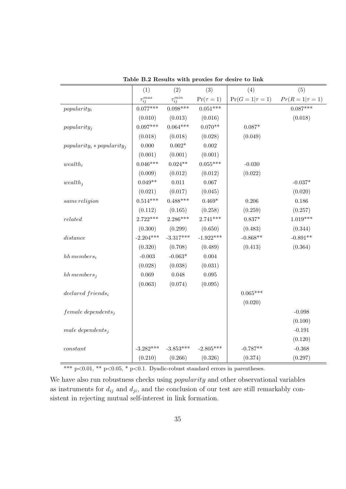|                               | (1)               | (2)               | (3)            | (4)                    | (5)                    |
|-------------------------------|-------------------|-------------------|----------------|------------------------|------------------------|
|                               | $\tau_{ij}^{max}$ | $\tau_{ij}^{min}$ | $Pr(\tau = 1)$ | $Pr(G = 1   \tau = 1)$ | $Pr(R = 1   \tau = 1)$ |
| $popularity_i$                | $0.077***$        | $0.098***$        | $0.051***$     |                        | $0.087***$             |
|                               | (0.010)           | (0.013)           | (0.016)        |                        | (0.018)                |
| $popularity_j$                | $0.097***$        | $0.064***$        | $0.070**$      | $0.087*$               |                        |
|                               | (0.018)           | (0.018)           | (0.028)        | (0.049)                |                        |
| $popularity_i * popularity_j$ | 0.000             | $0.002^{\ast}$    | 0.002          |                        |                        |
|                               | (0.001)           | (0.001)           | (0.001)        |                        |                        |
| $wealth_i$                    | $0.046***$        | $0.024**$         | $0.055***$     | $-0.030$               |                        |
|                               | (0.009)           | (0.012)           | (0.012)        | (0.022)                |                        |
| $wealth_j$                    | $0.049**$         | 0.011             | 0.067          |                        | $-0.037*$              |
|                               | (0.021)           | (0.017)           | (0.045)        |                        | (0.020)                |
| same religion                 | $0.514***$        | $0.488***$        | $0.469*$       | 0.206                  | 0.186                  |
|                               | (0.112)           | (0.165)           | (0.258)        | (0.259)                | (0.257)                |
| related                       | $2.722***$        | $2.286***$        | $2.741***$     | $0.837*$               | $1.019***$             |
|                               | (0.300)           | (0.299)           | (0.650)        | (0.483)                | (0.344)                |
| distance                      | $-2.204***$       | $-3.317***$       | $-1.922***$    | $-0.868**$             | $-0.891**$             |
|                               | (0.320)           | (0.708)           | (0.489)        | (0.413)                | (0.364)                |
| $hh$ members <sub>i</sub>     | $-0.003$          | $-0.063*$         | 0.004          |                        |                        |
|                               | (0.028)           | (0.038)           | (0.031)        |                        |                        |
| $hh$ members <sub>j</sub>     | 0.069             | 0.048             | 0.095          |                        |                        |
|                               | (0.063)           | (0.074)           | (0.095)        |                        |                        |
| $declared\ friends_i$         |                   |                   |                | $0.065***$             |                        |
|                               |                   |                   |                | (0.020)                |                        |
| $female\ depends on$          |                   |                   |                |                        | $-0.098$               |
|                               |                   |                   |                |                        | (0.100)                |
| male dependents <sub>j</sub>  |                   |                   |                |                        | $-0.191$               |
|                               |                   |                   |                |                        | (0.120)                |
| constant                      | $-3.282***$       | $-3.853***$       | $-2.805***$    | $-0.787**$             | $-0.368$               |
|                               | (0.210)           | (0.266)           | (0.326)        | (0.374)                | (0.297)                |

Table B.2 Results with proxies for desire to link

\*\*\* p<0.01, \*\* p<0.05, \* p<0.1. Dyadic-robust standard errors in parentheses.

We have also run robustness checks using *popularity* and other observational variables as instruments for  $d_{ij}$  and  $d_{ji}$ , and the conclusion of our test are still remarkably consistent in rejecting mutual self-interest in link formation.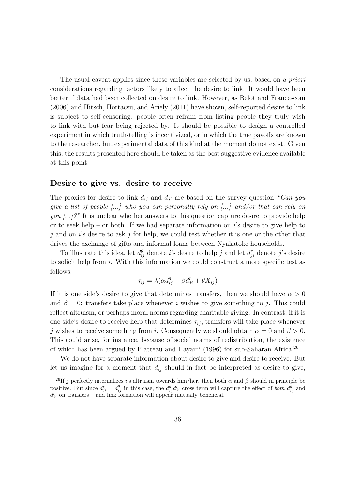The usual caveat applies since these variables are selected by us, based on a priori considerations regarding factors likely to affect the desire to link. It would have been better if data had been collected on desire to link. However, as Belot and Francesconi (2006) and Hitsch, Hortacsu, and Ariely (2011) have shown, self-reported desire to link is subject to self-censoring: people often refrain from listing people they truly wish to link with but fear being rejected by. It should be possible to design a controlled experiment in which truth-telling is incentivized, or in which the true payoffs are known to the researcher, but experimental data of this kind at the moment do not exist. Given this, the results presented here should be taken as the best suggestive evidence available at this point.

#### Desire to give vs. desire to receive

The proxies for desire to link  $d_{ij}$  and  $d_{ji}$  are based on the survey question "Can you give a list of people  $\left[\ldots\right]$  who you can personally rely on  $\left[\ldots\right]$  and/or that can rely on you  $\langle ... \rangle$ ?" It is unclear whether answers to this question capture desire to provide help or to seek help – or both. If we had separate information on  $i$ 's desire to give help to  $j$  and on i's desire to ask j for help, we could test whether it is one or the other that drives the exchange of gifts and informal loans between Nyakatoke households.

To illustrate this idea, let  $d_{ij}^g$  denote *i*'s desire to help *j* and let  $d_{ji}^r$  denote *j*'s desire to solicit help from i. With this information we could construct a more specific test as follows:

$$
\tau_{ij} = \lambda(\alpha d_{ij}^g + \beta d_{ji}^r + \theta X_{ij})
$$

If it is one side's desire to give that determines transfers, then we should have  $\alpha > 0$ and  $\beta = 0$ : transfers take place whenever *i* wishes to give something to *j*. This could reflect altruism, or perhaps moral norms regarding charitable giving. In contrast, if it is one side's desire to receive help that determines  $\tau_{ij}$ , transfers will take place whenever j wishes to receive something from i. Consequently we should obtain  $\alpha = 0$  and  $\beta > 0$ . This could arise, for instance, because of social norms of redistribution, the existence of which has been argued by Platteau and Hayami (1996) for sub-Saharan Africa.<sup>26</sup>

We do not have separate information about desire to give and desire to receive. But let us imagine for a moment that  $d_{ij}$  should in fact be interpreted as desire to give,

<sup>&</sup>lt;sup>26</sup>If j perfectly internalizes i's altruism towards him/her, then both  $\alpha$  and  $\beta$  should in principle be positive. But since  $d_{ij}^r = d_{ij}^g$  in this case, the  $d_{ij}^g d_{ji}^r$  cross term will capture the effect of *both*  $d_{ij}^g$  and  $d_{ji}^r$  on transfers – and link formation will appear mutually beneficial.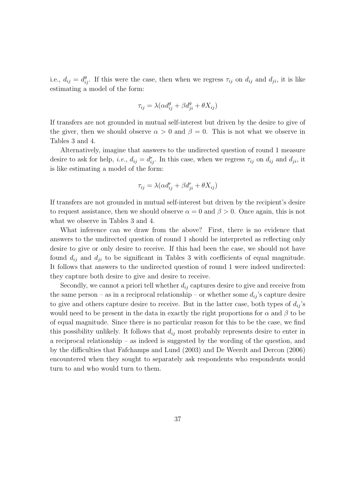i.e.,  $d_{ij} = d_{ij}^g$ . If this were the case, then when we regress  $\tau_{ij}$  on  $d_{ij}$  and  $d_{ji}$ , it is like estimating a model of the form:

$$
\tau_{ij} = \lambda(\alpha d_{ij}^g + \beta d_{ji}^g + \theta X_{ij})
$$

If transfers are not grounded in mutual self-interest but driven by the desire to give of the giver, then we should observe  $\alpha > 0$  and  $\beta = 0$ . This is not what we observe in Tables 3 and 4.

Alternatively, imagine that answers to the undirected question of round 1 measure desire to ask for help, *i.e.*,  $d_{ij} = d_{ij}^r$ . In this case, when we regress  $\tau_{ij}$  on  $d_{ij}$  and  $d_{ji}$ , it is like estimating a model of the form:

$$
\tau_{ij} = \lambda(\alpha d_{ij}^r + \beta d_{ji}^r + \theta X_{ij})
$$

If transfers are not grounded in mutual self-interest but driven by the recipient's desire to request assistance, then we should observe  $\alpha = 0$  and  $\beta > 0$ . Once again, this is not what we observe in Tables 3 and 4.

What inference can we draw from the above? First, there is no evidence that answers to the undirected question of round 1 should be interpreted as reflecting only desire to give or only desire to receive. If this had been the case, we should not have found  $d_{ij}$  and  $d_{ji}$  to be significant in Tables 3 with coefficients of equal magnitude. It follows that answers to the undirected question of round 1 were indeed undirected: they capture both desire to give and desire to receive.

Secondly, we cannot a priori tell whether  $d_{ij}$  captures desire to give and receive from the same person – as in a reciprocal relationship – or whether some  $d_{ij}$ 's capture desire to give and others capture desire to receive. But in the latter case, both types of  $d_{ij}$ 's would need to be present in the data in exactly the right proportions for  $\alpha$  and  $\beta$  to be of equal magnitude. Since there is no particular reason for this to be the case, we find this possibility unlikely. It follows that  $d_{ij}$  most probably represents desire to enter in a reciprocal relationship – as indeed is suggested by the wording of the question, and by the difficulties that Fafchamps and Lund (2003) and De Weerdt and Dercon (2006) encountered when they sought to separately ask respondents who respondents would turn to and who would turn to them.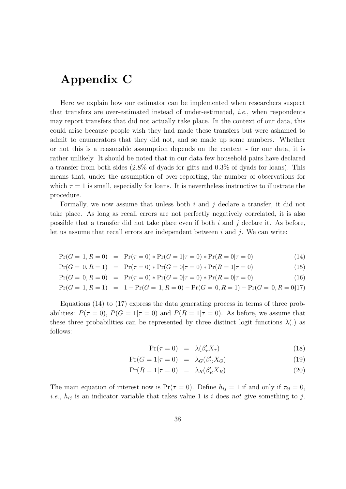## Appendix C

Here we explain how our estimator can be implemented when researchers suspect that transfers are over-estimated instead of under-estimated, i.e., when respondents may report transfers that did not actually take place. In the context of our data, this could arise because people wish they had made these transfers but were ashamed to admit to enumerators that they did not, and so made up some numbers. Whether or not this is a reasonable assumption depends on the context - for our data, it is rather unlikely. It should be noted that in our data few household pairs have declared a transfer from both sides (2.8% of dyads for gifts and 0.3% of dyads for loans). This means that, under the assumption of over-reporting, the number of observations for which  $\tau = 1$  is small, especially for loans. It is nevertheless instructive to illustrate the procedure.

Formally, we now assume that unless both i and j declare a transfer, it did not take place. As long as recall errors are not perfectly negatively correlated, it is also possible that a transfer did not take place even if both  $i$  and  $j$  declare it. As before, let us assume that recall errors are independent between  $i$  and  $j$ . We can write:

$$
\Pr(G = 1, R = 0) = \Pr(\tau = 0) * \Pr(G = 1 | \tau = 0) * \Pr(R = 0 | \tau = 0)
$$
\n(14)

$$
Pr(G = 0, R = 1) = Pr(\tau = 0) * Pr(G = 0 | \tau = 0) * Pr(R = 1 | \tau = 0)
$$
\n(15)

$$
Pr(G = 0, R = 0) = Pr(\tau = 0) * Pr(G = 0 | \tau = 0) * Pr(R = 0 | \tau = 0)
$$
\n(16)

$$
Pr(G = 1, R = 1) = 1 - Pr(G = 1, R = 0) - Pr(G = 0, R = 1) - Pr(G = 0, R = 0) \tag{17}
$$

Equations (14) to (17) express the data generating process in terms of three probabilities:  $P(\tau = 0)$ ,  $P(G = 1 | \tau = 0)$  and  $P(R = 1 | \tau = 0)$ . As before, we assume that these three probabilities can be represented by three distinct logit functions  $\lambda(.)$  as follows:

$$
\Pr(\tau = 0) = \lambda(\beta_\tau' X_\tau) \tag{18}
$$

$$
\Pr(G=1|\tau=0) = \lambda_G(\beta'_G X_G) \tag{19}
$$

$$
\Pr(R = 1 | \tau = 0) = \lambda_R(\beta_R' X_R) \tag{20}
$$

The main equation of interest now is  $Pr(\tau = 0)$ . Define  $h_{ij} = 1$  if and only if  $\tau_{ij} = 0$ , *i.e.*,  $h_{ij}$  is an indicator variable that takes value 1 is *i* does not give something to *j*.